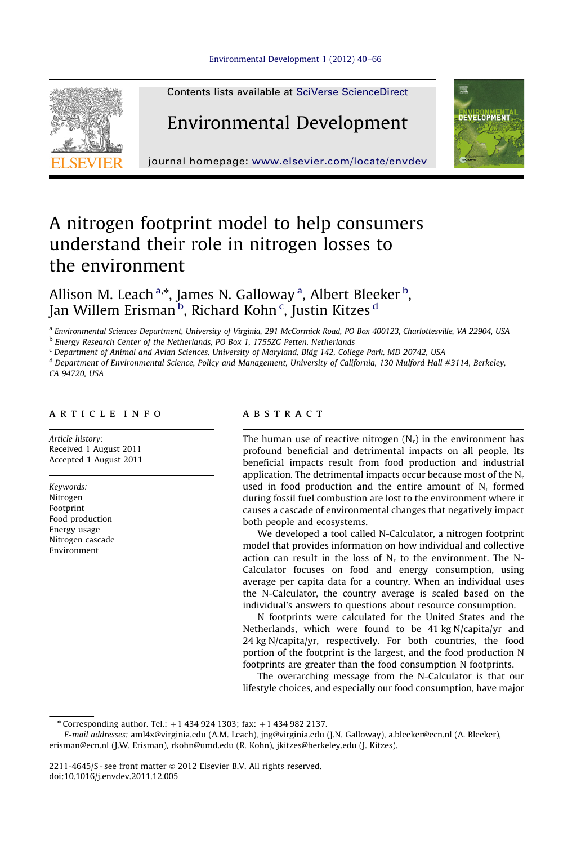

Contents lists available at [SciVerse ScienceDirect](www.elsevier.com/locate/envdev)

# Environmental Development

journal homepage: <www.elsevier.com/locate/envdev>



# A nitrogen footprint model to help consumers understand their role in nitrogen losses to the environment

Allison M. Leach <sup>a,\*</sup>, James N. Galloway <sup>a</sup>, Albert Bleeker <sup>b</sup>, Jan Willem Erisman<sup>'b</sup>, Richard Kohn<sup>c</sup>, Justin Kitzes <sup>d</sup>

<sup>a</sup> Environmental Sciences Department, University of Virginia, 291 McCormick Road, PO Box 400123, Charlottesville, VA 22904, USA

<sup>b</sup> Energy Research Center of the Netherlands, PO Box 1, 1755ZG Petten, Netherlands

<sup>c</sup> Department of Animal and Avian Sciences, University of Maryland, Bldg 142, College Park, MD 20742, USA

<sup>d</sup> Department of Environmental Science, Policy and Management, University of California, 130 Mulford Hall #3114, Berkeley, CA 94720, USA

#### article info

Article history: Received 1 August 2011 Accepted 1 August 2011

Keywords: Nitrogen Footprint Food production Energy usage Nitrogen cascade Environment

#### **ABSTRACT**

The human use of reactive nitrogen  $(N_r)$  in the environment has profound beneficial and detrimental impacts on all people. Its beneficial impacts result from food production and industrial application. The detrimental impacts occur because most of the  $N_r$ used in food production and the entire amount of  $N_r$  formed during fossil fuel combustion are lost to the environment where it causes a cascade of environmental changes that negatively impact both people and ecosystems.

We developed a tool called N-Calculator, a nitrogen footprint model that provides information on how individual and collective action can result in the loss of  $N_r$  to the environment. The N-Calculator focuses on food and energy consumption, using average per capita data for a country. When an individual uses the N-Calculator, the country average is scaled based on the individual's answers to questions about resource consumption.

N footprints were calculated for the United States and the Netherlands, which were found to be 41 kg N/capita/yr and  $24$  kg N/capita/yr, respectively. For both countries, the food portion of the footprint is the largest, and the food production N footprints are greater than the food consumption N footprints.

The overarching message from the N-Calculator is that our lifestyle choices, and especially our food consumption, have major

2211-4645/\$ - see front matter @ 2012 Elsevier B.V. All rights reserved. doi:[10.1016/j.envdev.2011.12.005](dx.doi.org/10.1016/j.envdev.2011.12.005)

 $*$  Corresponding author. Tel.:  $+1$  434 924 1303; fax:  $+1$  434 982 2137.

E-mail addresses: [aml4x@virginia.edu \(A.M. Leach\)](mailto:aml4x@virginia.edu), [jng@virginia.edu \(J.N. Galloway\)](mailto:jng@virginia.edu), [a.bleeker@ecn.nl \(A. Bleeker\)](mailto:a.bleeker@ecn.nl), [erisman@ecn.nl \(J.W. Erisman\)](mailto:erisman@ecn.nl), [rkohn@umd.edu \(R. Kohn\)](mailto:rkohn@umd.edu), [jkitzes@berkeley.edu \(J. Kitzes\).](mailto:jkitzes@berkeley.edu)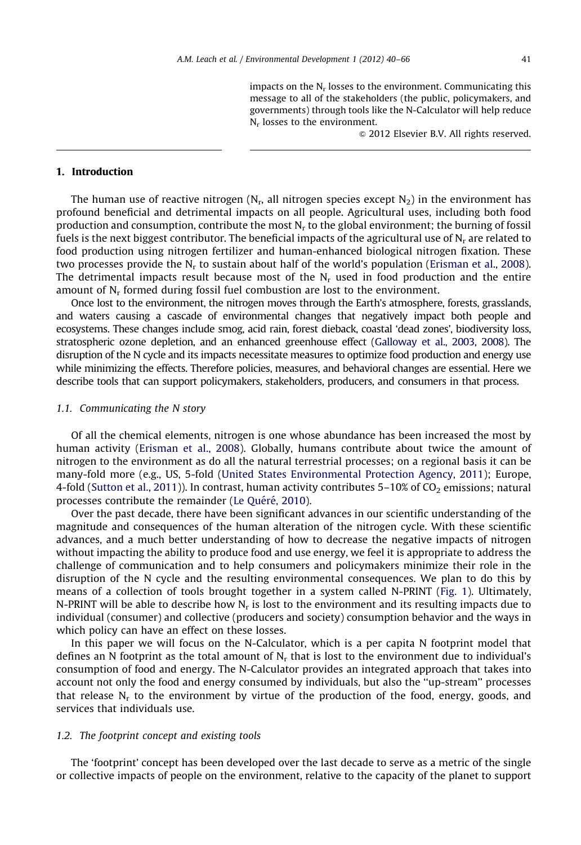impacts on the  $N_r$  losses to the environment. Communicating this message to all of the stakeholders (the public, policymakers, and governments) through tools like the N-Calculator will help reduce N<sub>r</sub> losses to the environment.

 $\odot$  2012 Elsevier B.V. All rights reserved.

### 1. Introduction

The human use of reactive nitrogen ( $N_r$ , all nitrogen species except  $N_2$ ) in the environment has profound beneficial and detrimental impacts on all people. Agricultural uses, including both food production and consumption, contribute the most  $N<sub>r</sub>$  to the global environment; the burning of fossil fuels is the next biggest contributor. The beneficial impacts of the agricultural use of  $N_r$  are related to food production using nitrogen fertilizer and human-enhanced biological nitrogen fixation. These two processes provide the  $N_r$  to sustain about half of the world's population (Erisman et al., 2008). The detrimental impacts result because most of the  $N_r$  used in food production and the entire amount of  $N_r$  formed during fossil fuel combustion are lost to the environment.

Once lost to the environment, the nitrogen moves through the Earth's atmosphere, forests, grasslands, and waters causing a cascade of environmental changes that negatively impact both people and ecosystems. These changes include smog, acid rain, forest dieback, coastal 'dead zones', biodiversity loss, stratospheric ozone depletion, and an enhanced greenhouse effect (Galloway et al., 2003, 2008). The disruption of the N cycle and its impacts necessitate measures to optimize food production and energy use while minimizing the effects. Therefore policies, measures, and behavioral changes are essential. Here we describe tools that can support policymakers, stakeholders, producers, and consumers in that process.

#### 1.1. Communicating the N story

Of all the chemical elements, nitrogen is one whose abundance has been increased the most by human activity (Erisman et al., 2008). Globally, humans contribute about twice the amount of nitrogen to the environment as do all the natural terrestrial processes; on a regional basis it can be many-fold more (e.g., US, 5-fold (United States Environmental Protection Agency, 2011); Europe, 4-fold (Sutton et al., 2011)). In contrast, human activity contributes  $5-10\%$  of  $CO<sub>2</sub>$  emissions; natural processes contribute the remainder (Le Quéré, 2010).

Over the past decade, there have been significant advances in our scientific understanding of the magnitude and consequences of the human alteration of the nitrogen cycle. With these scientific advances, and a much better understanding of how to decrease the negative impacts of nitrogen without impacting the ability to produce food and use energy, we feel it is appropriate to address the challenge of communication and to help consumers and policymakers minimize their role in the disruption of the N cycle and the resulting environmental consequences. We plan to do this by means of a collection of tools brought together in a system called N-PRINT ([Fig. 1\)](#page-2-0). Ultimately, N-PRINT will be able to describe how  $N_r$  is lost to the environment and its resulting impacts due to individual (consumer) and collective (producers and society) consumption behavior and the ways in which policy can have an effect on these losses.

In this paper we will focus on the N-Calculator, which is a per capita N footprint model that defines an N footprint as the total amount of  $N_r$  that is lost to the environment due to individual's consumption of food and energy. The N-Calculator provides an integrated approach that takes into account not only the food and energy consumed by individuals, but also the ''up-stream'' processes that release  $N_r$  to the environment by virtue of the production of the food, energy, goods, and services that individuals use.

#### 1.2. The footprint concept and existing tools

The 'footprint' concept has been developed over the last decade to serve as a metric of the single or collective impacts of people on the environment, relative to the capacity of the planet to support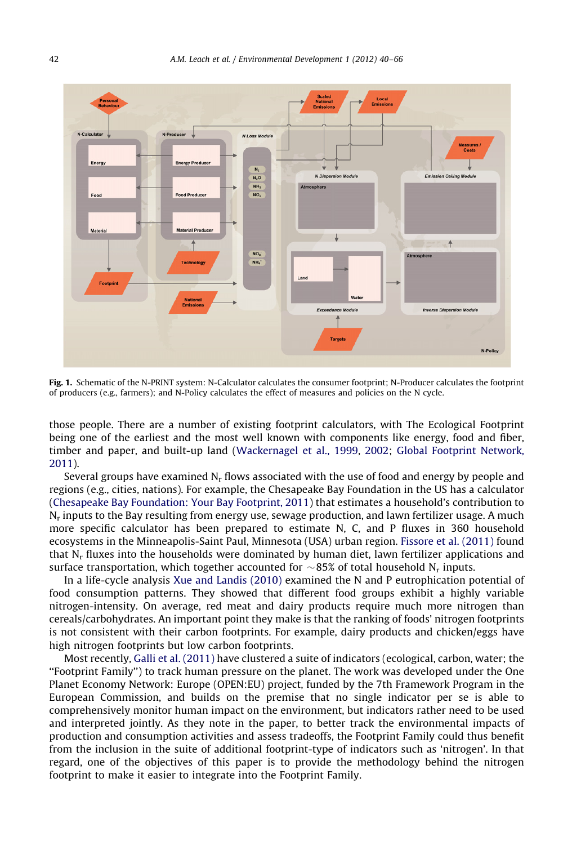<span id="page-2-0"></span>

Fig. 1. Schematic of the N-PRINT system: N-Calculator calculates the consumer footprint; N-Producer calculates the footprint of producers (e.g., farmers); and N-Policy calculates the effect of measures and policies on the N cycle.

those people. There are a number of existing footprint calculators, with The Ecological Footprint being one of the earliest and the most well known with components like energy, food and fiber, timber and paper, and built-up land (Wackernagel et al., 1999, 2002; Global Footprint Network, 2011).

Several groups have examined  $N_r$  flows associated with the use of food and energy by people and regions (e.g., cities, nations). For example, the Chesapeake Bay Foundation in the US has a calculator (Chesapeake Bay Foundation: Your Bay Footprint, 2011) that estimates a household's contribution to  $N_r$  inputs to the Bay resulting from energy use, sewage production, and lawn fertilizer usage. A much more specific calculator has been prepared to estimate N, C, and P fluxes in 360 household ecosystems in the Minneapolis-Saint Paul, Minnesota (USA) urban region. Fissore et al. (2011) found that  $N_r$  fluxes into the households were dominated by human diet, lawn fertilizer applications and surface transportation, which together accounted for  $\sim$ 85% of total household N<sub>r</sub> inputs.

In a life-cycle analysis Xue and Landis (2010) examined the N and P eutrophication potential of food consumption patterns. They showed that different food groups exhibit a highly variable nitrogen-intensity. On average, red meat and dairy products require much more nitrogen than cereals/carbohydrates. An important point they make is that the ranking of foods' nitrogen footprints is not consistent with their carbon footprints. For example, dairy products and chicken/eggs have high nitrogen footprints but low carbon footprints.

Most recently, Galli et al. (2011) have clustered a suite of indicators (ecological, carbon, water; the ''Footprint Family'') to track human pressure on the planet. The work was developed under the One Planet Economy Network: Europe (OPEN:EU) project, funded by the 7th Framework Program in the European Commission, and builds on the premise that no single indicator per se is able to comprehensively monitor human impact on the environment, but indicators rather need to be used and interpreted jointly. As they note in the paper, to better track the environmental impacts of production and consumption activities and assess tradeoffs, the Footprint Family could thus benefit from the inclusion in the suite of additional footprint-type of indicators such as 'nitrogen'. In that regard, one of the objectives of this paper is to provide the methodology behind the nitrogen footprint to make it easier to integrate into the Footprint Family.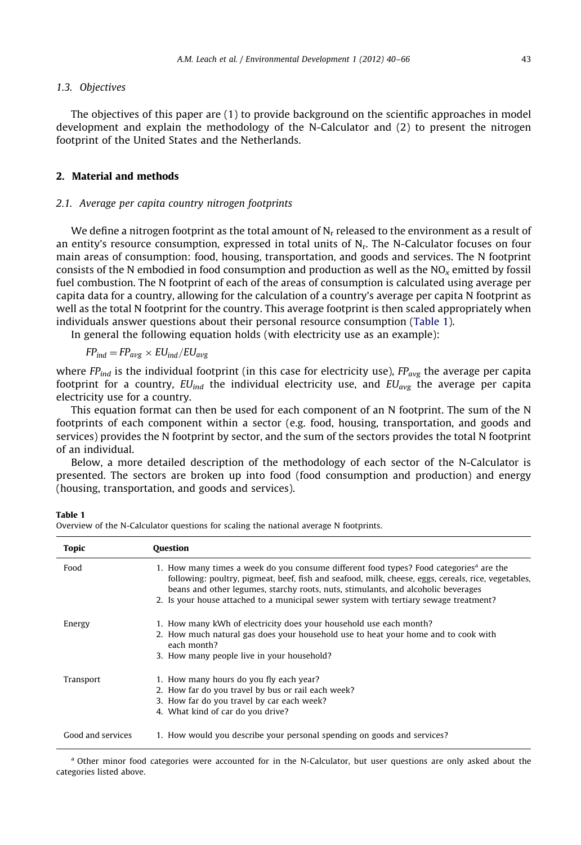#### <span id="page-3-0"></span>1.3. Objectives

The objectives of this paper are (1) to provide background on the scientific approaches in model development and explain the methodology of the N-Calculator and (2) to present the nitrogen footprint of the United States and the Netherlands.

# 2. Material and methods

### 2.1. Average per capita country nitrogen footprints

We define a nitrogen footprint as the total amount of  $N_r$  released to the environment as a result of an entity's resource consumption, expressed in total units of Nr. The N-Calculator focuses on four main areas of consumption: food, housing, transportation, and goods and services. The N footprint consists of the N embodied in food consumption and production as well as the  $NO<sub>x</sub>$  emitted by fossil fuel combustion. The N footprint of each of the areas of consumption is calculated using average per capita data for a country, allowing for the calculation of a country's average per capita N footprint as well as the total N footprint for the country. This average footprint is then scaled appropriately when individuals answer questions about their personal resource consumption (Table 1).

In general the following equation holds (with electricity use as an example):

$$
FP_{ind} = FP_{avg} \times EU_{ind}/EU_{avg}
$$

where  $FP_{ind}$  is the individual footprint (in this case for electricity use),  $FP_{avg}$  the average per capita footprint for a country,  $EU_{ind}$  the individual electricity use, and  $EU_{avg}$  the average per capita electricity use for a country.

This equation format can then be used for each component of an N footprint. The sum of the N footprints of each component within a sector (e.g. food, housing, transportation, and goods and services) provides the N footprint by sector, and the sum of the sectors provides the total N footprint of an individual.

Below, a more detailed description of the methodology of each sector of the N-Calculator is presented. The sectors are broken up into food (food consumption and production) and energy (housing, transportation, and goods and services).

Table 1

| Overview of the N-Calculator questions for scaling the national average N footprints. |  |  |  |  |
|---------------------------------------------------------------------------------------|--|--|--|--|
|                                                                                       |  |  |  |  |

| <b>Topic</b>      | <b>Ouestion</b>                                                                                                                                                                                                                                                                                                                                                                         |
|-------------------|-----------------------------------------------------------------------------------------------------------------------------------------------------------------------------------------------------------------------------------------------------------------------------------------------------------------------------------------------------------------------------------------|
| Food              | 1. How many times a week do you consume different food types? Food categories <sup>a</sup> are the<br>following: poultry, pigmeat, beef, fish and seafood, milk, cheese, eggs, cereals, rice, vegetables,<br>beans and other legumes, starchy roots, nuts, stimulants, and alcoholic beverages<br>2. Is your house attached to a municipal sewer system with tertiary sewage treatment? |
| Energy            | 1. How many kWh of electricity does your household use each month?<br>2. How much natural gas does your household use to heat your home and to cook with<br>each month?<br>3. How many people live in your household?                                                                                                                                                                   |
| Transport         | 1. How many hours do you fly each year?<br>2. How far do you travel by bus or rail each week?<br>3. How far do you travel by car each week?<br>4. What kind of car do you drive?                                                                                                                                                                                                        |
| Good and services | 1. How would you describe your personal spending on goods and services?                                                                                                                                                                                                                                                                                                                 |

<sup>a</sup> Other minor food categories were accounted for in the N-Calculator, but user questions are only asked about the categories listed above.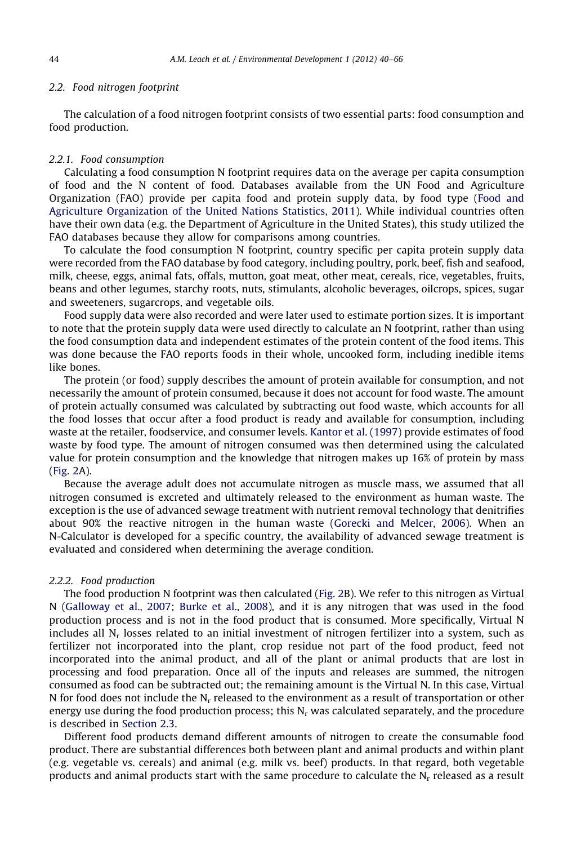#### 2.2. Food nitrogen footprint

The calculation of a food nitrogen footprint consists of two essential parts: food consumption and food production.

### 2.2.1. Food consumption

Calculating a food consumption N footprint requires data on the average per capita consumption of food and the N content of food. Databases available from the UN Food and Agriculture Organization (FAO) provide per capita food and protein supply data, by food type (Food and Agriculture Organization of the United Nations Statistics, 2011). While individual countries often have their own data (e.g. the Department of Agriculture in the United States), this study utilized the FAO databases because they allow for comparisons among countries.

To calculate the food consumption N footprint, country specific per capita protein supply data were recorded from the FAO database by food category, including poultry, pork, beef, fish and seafood, milk, cheese, eggs, animal fats, offals, mutton, goat meat, other meat, cereals, rice, vegetables, fruits, beans and other legumes, starchy roots, nuts, stimulants, alcoholic beverages, oilcrops, spices, sugar and sweeteners, sugarcrops, and vegetable oils.

Food supply data were also recorded and were later used to estimate portion sizes. It is important to note that the protein supply data were used directly to calculate an N footprint, rather than using the food consumption data and independent estimates of the protein content of the food items. This was done because the FAO reports foods in their whole, uncooked form, including inedible items like bones.

The protein (or food) supply describes the amount of protein available for consumption, and not necessarily the amount of protein consumed, because it does not account for food waste. The amount of protein actually consumed was calculated by subtracting out food waste, which accounts for all the food losses that occur after a food product is ready and available for consumption, including waste at the retailer, foodservice, and consumer levels. Kantor et al. (1997) provide estimates of food waste by food type. The amount of nitrogen consumed was then determined using the calculated value for protein consumption and the knowledge that nitrogen makes up 16% of protein by mass ([Fig. 2A](#page-5-0)).

Because the average adult does not accumulate nitrogen as muscle mass, we assumed that all nitrogen consumed is excreted and ultimately released to the environment as human waste. The exception is the use of advanced sewage treatment with nutrient removal technology that denitrifies about 90% the reactive nitrogen in the human waste (Gorecki and Melcer, 2006). When an N-Calculator is developed for a specific country, the availability of advanced sewage treatment is evaluated and considered when determining the average condition.

# 2.2.2. Food production

The food production N footprint was then calculated ([Fig. 2](#page-5-0)B). We refer to this nitrogen as Virtual N (Galloway et al., 2007; Burke et al., 2008), and it is any nitrogen that was used in the food production process and is not in the food product that is consumed. More specifically, Virtual N includes all  $N_r$  losses related to an initial investment of nitrogen fertilizer into a system, such as fertilizer not incorporated into the plant, crop residue not part of the food product, feed not incorporated into the animal product, and all of the plant or animal products that are lost in processing and food preparation. Once all of the inputs and releases are summed, the nitrogen consumed as food can be subtracted out; the remaining amount is the Virtual N. In this case, Virtual N for food does not include the  $N_r$  released to the environment as a result of transportation or other energy use during the food production process; this  $N_r$  was calculated separately, and the procedure is described in [Section 2.3.](#page-7-0)

Different food products demand different amounts of nitrogen to create the consumable food product. There are substantial differences both between plant and animal products and within plant (e.g. vegetable vs. cereals) and animal (e.g. milk vs. beef) products. In that regard, both vegetable products and animal products start with the same procedure to calculate the  $N_r$  released as a result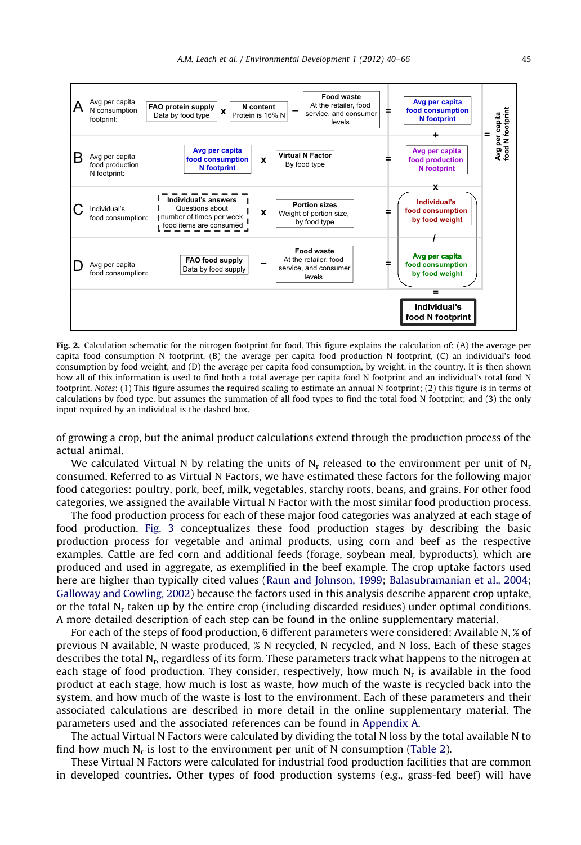<span id="page-5-0"></span>

Fig. 2. Calculation schematic for the nitrogen footprint for food. This figure explains the calculation of: (A) the average per capita food consumption N footprint, (B) the average per capita food production N footprint, (C) an individual's food consumption by food weight, and (D) the average per capita food consumption, by weight, in the country. It is then shown how all of this information is used to find both a total average per capita food N footprint and an individual's total food N footprint. Notes: (1) This figure assumes the required scaling to estimate an annual N footprint; (2) this figure is in terms of calculations by food type, but assumes the summation of all food types to find the total food N footprint; and (3) the only input required by an individual is the dashed box.

of growing a crop, but the animal product calculations extend through the production process of the actual animal.

We calculated Virtual N by relating the units of  $N_r$  released to the environment per unit of  $N_r$ consumed. Referred to as Virtual N Factors, we have estimated these factors for the following major food categories: poultry, pork, beef, milk, vegetables, starchy roots, beans, and grains. For other food categories, we assigned the available Virtual N Factor with the most similar food production process.

The food production process for each of these major food categories was analyzed at each stage of food production. [Fig. 3](#page-6-0) conceptualizes these food production stages by describing the basic production process for vegetable and animal products, using corn and beef as the respective examples. Cattle are fed corn and additional feeds (forage, soybean meal, byproducts), which are produced and used in aggregate, as exemplified in the beef example. The crop uptake factors used here are higher than typically cited values (Raun and Johnson, 1999; Balasubramanian et al., 2004; Galloway and Cowling, 2002) because the factors used in this analysis describe apparent crop uptake, or the total  $N_r$  taken up by the entire crop (including discarded residues) under optimal conditions. A more detailed description of each step can be found in the online supplementary material.

For each of the steps of food production, 6 different parameters were considered: Available N, % of previous N available, N waste produced, % N recycled, N recycled, and N loss. Each of these stages describes the total Nr, regardless of its form. These parameters track what happens to the nitrogen at each stage of food production. They consider, respectively, how much  $N_r$  is available in the food product at each stage, how much is lost as waste, how much of the waste is recycled back into the system, and how much of the waste is lost to the environment. Each of these parameters and their associated calculations are described in more detail in the online supplementary material. The parameters used and the associated references can be found in [Appendix A.](#page-24-0)

The actual Virtual N Factors were calculated by dividing the total N loss by the total available N to find how much  $N_r$  is lost to the environment per unit of N consumption ([Table 2](#page-6-0)).

These Virtual N Factors were calculated for industrial food production facilities that are common in developed countries. Other types of food production systems (e.g., grass-fed beef) will have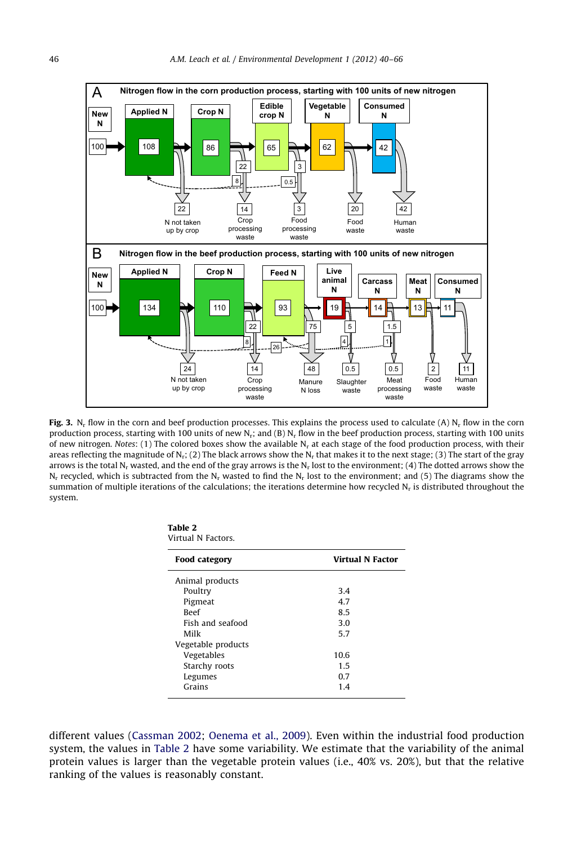<span id="page-6-0"></span>

Fig. 3. N<sub>r</sub> flow in the corn and beef production processes. This explains the process used to calculate (A) N<sub>r</sub> flow in the corn production process, starting with 100 units of new  $N_r$ ; and (B)  $N_r$  flow in the beef production process, starting with 100 units of new nitrogen. Notes: (1) The colored boxes show the available  $N<sub>r</sub>$  at each stage of the food production process, with their areas reflecting the magnitude of N<sub>r</sub>; (2) The black arrows show the N<sub>r</sub> that makes it to the next stage; (3) The start of the gray arrows is the total N<sub>r</sub> wasted, and the end of the gray arrows is the N<sub>r</sub> lost to the environment; (4) The dotted arrows show the  $N_r$  recycled, which is subtracted from the  $N_r$  wasted to find the  $N_r$  lost to the environment; and (5) The diagrams show the summation of multiple iterations of the calculations; the iterations determine how recycled  $N_r$  is distributed throughout the system.

| Table 2 |                    |
|---------|--------------------|
|         | Virtual N Factors. |

| Food category      | <b>Virtual N Factor</b> |
|--------------------|-------------------------|
| Animal products    |                         |
| Poultry            | 3.4                     |
| Pigmeat            | 47                      |
| <b>Beef</b>        | 8.5                     |
| Fish and seafood   | 3.0                     |
| Milk               | 57                      |
| Vegetable products |                         |
| Vegetables         | 10.6                    |
| Starchy roots      | 15                      |
| Legumes            | 0.7                     |
| Grains             | 1.4                     |

different values (Cassman 2002; Oenema et al., 2009). Even within the industrial food production system, the values in Table 2 have some variability. We estimate that the variability of the animal protein values is larger than the vegetable protein values (i.e., 40% vs. 20%), but that the relative ranking of the values is reasonably constant.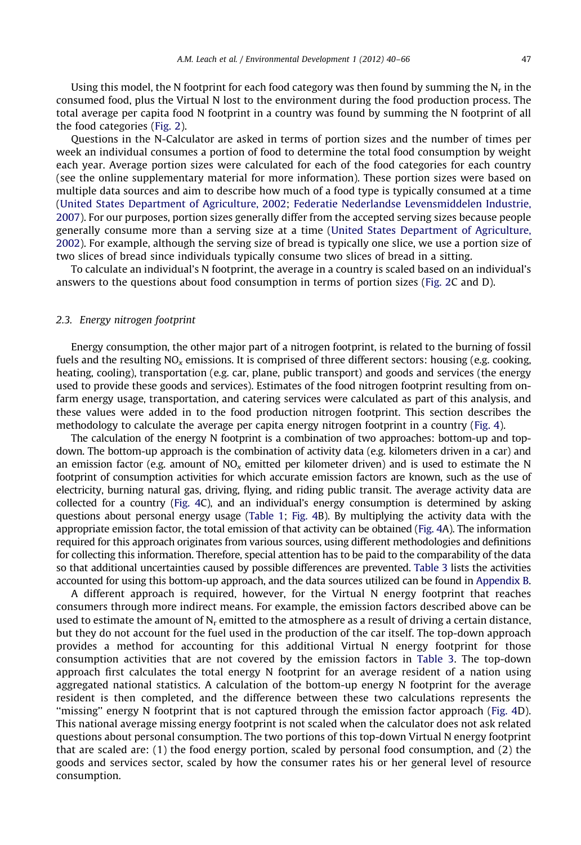<span id="page-7-0"></span>Using this model, the N footprint for each food category was then found by summing the  $N_r$  in the consumed food, plus the Virtual N lost to the environment during the food production process. The total average per capita food N footprint in a country was found by summing the N footprint of all the food categories ([Fig. 2\)](#page-5-0).

Questions in the N-Calculator are asked in terms of portion sizes and the number of times per week an individual consumes a portion of food to determine the total food consumption by weight each year. Average portion sizes were calculated for each of the food categories for each country (see the online supplementary material for more information). These portion sizes were based on multiple data sources and aim to describe how much of a food type is typically consumed at a time (United States Department of Agriculture, 2002; Federatie Nederlandse Levensmiddelen Industrie, 2007). For our purposes, portion sizes generally differ from the accepted serving sizes because people generally consume more than a serving size at a time (United States Department of Agriculture, 2002). For example, although the serving size of bread is typically one slice, we use a portion size of two slices of bread since individuals typically consume two slices of bread in a sitting.

To calculate an individual's N footprint, the average in a country is scaled based on an individual's answers to the questions about food consumption in terms of portion sizes ([Fig. 2C](#page-5-0) and D).

#### 2.3. Energy nitrogen footprint

Energy consumption, the other major part of a nitrogen footprint, is related to the burning of fossil fuels and the resulting  $NO<sub>x</sub>$  emissions. It is comprised of three different sectors: housing (e.g. cooking, heating, cooling), transportation (e.g. car, plane, public transport) and goods and services (the energy used to provide these goods and services). Estimates of the food nitrogen footprint resulting from onfarm energy usage, transportation, and catering services were calculated as part of this analysis, and these values were added in to the food production nitrogen footprint. This section describes the methodology to calculate the average per capita energy nitrogen footprint in a country [\(Fig. 4](#page-8-0)).

The calculation of the energy N footprint is a combination of two approaches: bottom-up and topdown. The bottom-up approach is the combination of activity data (e.g. kilometers driven in a car) and an emission factor (e.g. amount of  $NO<sub>x</sub>$  emitted per kilometer driven) and is used to estimate the N footprint of consumption activities for which accurate emission factors are known, such as the use of electricity, burning natural gas, driving, flying, and riding public transit. The average activity data are collected for a country [\(Fig. 4C](#page-8-0)), and an individual's energy consumption is determined by asking questions about personal energy usage ([Table 1;](#page-3-0) [Fig. 4](#page-8-0)B). By multiplying the activity data with the appropriate emission factor, the total emission of that activity can be obtained [\(Fig. 4](#page-8-0)A). The information required for this approach originates from various sources, using different methodologies and definitions for collecting this information. Therefore, special attention has to be paid to the comparability of the data so that additional uncertainties caused by possible differences are prevented. [Table 3](#page-8-0) lists the activities accounted for using this bottom-up approach, and the data sources utilized can be found in [Appendix B.](#page-14-0)

A different approach is required, however, for the Virtual N energy footprint that reaches consumers through more indirect means. For example, the emission factors described above can be used to estimate the amount of  $N_r$  emitted to the atmosphere as a result of driving a certain distance, but they do not account for the fuel used in the production of the car itself. The top-down approach provides a method for accounting for this additional Virtual N energy footprint for those consumption activities that are not covered by the emission factors in [Table 3.](#page-8-0) The top-down approach first calculates the total energy N footprint for an average resident of a nation using aggregated national statistics. A calculation of the bottom-up energy N footprint for the average resident is then completed, and the difference between these two calculations represents the ''missing'' energy N footprint that is not captured through the emission factor approach ([Fig. 4D](#page-8-0)). This national average missing energy footprint is not scaled when the calculator does not ask related questions about personal consumption. The two portions of this top-down Virtual N energy footprint that are scaled are: (1) the food energy portion, scaled by personal food consumption, and (2) the goods and services sector, scaled by how the consumer rates his or her general level of resource consumption.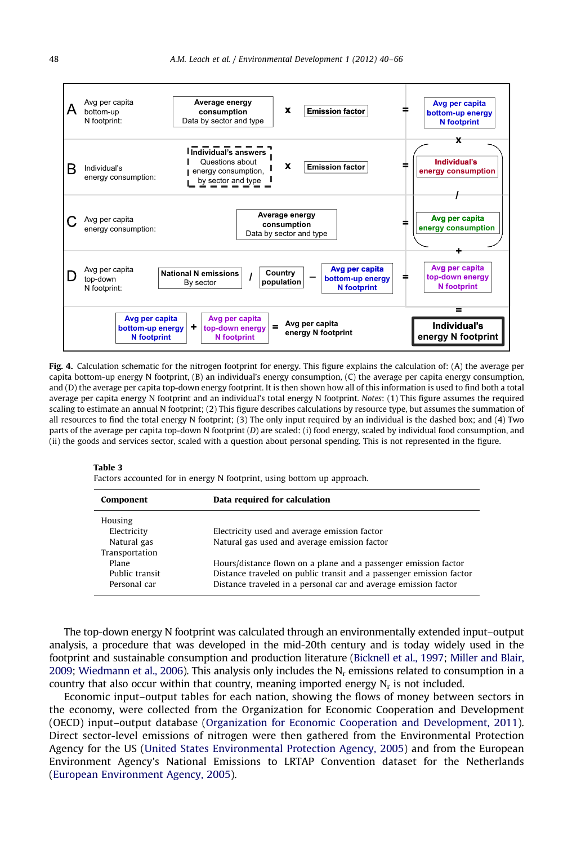<span id="page-8-0"></span>

Fig. 4. Calculation schematic for the nitrogen footprint for energy. This figure explains the calculation of: (A) the average per capita bottom-up energy N footprint, (B) an individual's energy consumption, (C) the average per capita energy consumption, and (D) the average per capita top-down energy footprint. It is then shown how all of this information is used to find both a total average per capita energy N footprint and an individual's total energy N footprint. Notes: (1) This figure assumes the required scaling to estimate an annual N footprint; (2) This figure describes calculations by resource type, but assumes the summation of all resources to find the total energy N footprint; (3) The only input required by an individual is the dashed box; and (4) Two parts of the average per capita top-down N footprint (D) are scaled: (i) food energy, scaled by individual food consumption, and (ii) the goods and services sector, scaled with a question about personal spending. This is not represented in the figure.

#### Table 3

Factors accounted for in energy N footprint, using bottom up approach.

| Component      | Data required for calculation                                       |
|----------------|---------------------------------------------------------------------|
| Housing        |                                                                     |
| Electricity    | Electricity used and average emission factor                        |
| Natural gas    | Natural gas used and average emission factor                        |
| Transportation |                                                                     |
| Plane          | Hours/distance flown on a plane and a passenger emission factor     |
| Public transit | Distance traveled on public transit and a passenger emission factor |
| Personal car   | Distance traveled in a personal car and average emission factor     |
|                |                                                                     |

The top-down energy N footprint was calculated through an environmentally extended input–output analysis, a procedure that was developed in the mid-20th century and is today widely used in the footprint and sustainable consumption and production literature (Bicknell et al., 1997; Miller and Blair, 2009; Wiedmann et al., 2006). This analysis only includes the  $N_r$  emissions related to consumption in a country that also occur within that country, meaning imported energy  $N_r$  is not included.

Economic input–output tables for each nation, showing the flows of money between sectors in the economy, were collected from the Organization for Economic Cooperation and Development (OECD) input–output database (Organization for Economic Cooperation and Development, 2011). Direct sector-level emissions of nitrogen were then gathered from the Environmental Protection Agency for the US (United States Environmental Protection Agency, 2005) and from the European Environment Agency's National Emissions to LRTAP Convention dataset for the Netherlands (European Environment Agency, 2005).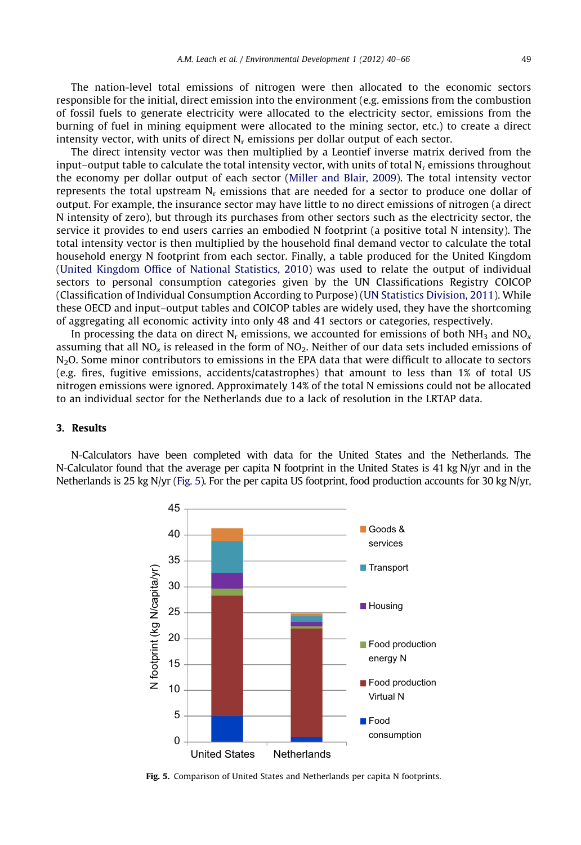<span id="page-9-0"></span>The nation-level total emissions of nitrogen were then allocated to the economic sectors responsible for the initial, direct emission into the environment (e.g. emissions from the combustion of fossil fuels to generate electricity were allocated to the electricity sector, emissions from the burning of fuel in mining equipment were allocated to the mining sector, etc.) to create a direct intensity vector, with units of direct  $N_r$  emissions per dollar output of each sector.

The direct intensity vector was then multiplied by a Leontief inverse matrix derived from the input–output table to calculate the total intensity vector, with units of total  $N_r$  emissions throughout the economy per dollar output of each sector (Miller and Blair, 2009). The total intensity vector represents the total upstream  $N_r$  emissions that are needed for a sector to produce one dollar of output. For example, the insurance sector may have little to no direct emissions of nitrogen (a direct N intensity of zero), but through its purchases from other sectors such as the electricity sector, the service it provides to end users carries an embodied N footprint (a positive total N intensity). The total intensity vector is then multiplied by the household final demand vector to calculate the total household energy N footprint from each sector. Finally, a table produced for the United Kingdom (United Kingdom Office of National Statistics, 2010) was used to relate the output of individual sectors to personal consumption categories given by the UN Classifications Registry COICOP (Classification of Individual Consumption According to Purpose) (UN Statistics Division, 2011). While these OECD and input–output tables and COICOP tables are widely used, they have the shortcoming of aggregating all economic activity into only 48 and 41 sectors or categories, respectively.

In processing the data on direct N<sub>r</sub> emissions, we accounted for emissions of both NH<sub>3</sub> and NO<sub>x</sub> assuming that all  $NO<sub>x</sub>$  is released in the form of  $NO<sub>2</sub>$ . Neither of our data sets included emissions of N<sub>2</sub>O. Some minor contributors to emissions in the EPA data that were difficult to allocate to sectors (e.g. fires, fugitive emissions, accidents/catastrophes) that amount to less than 1% of total US nitrogen emissions were ignored. Approximately 14% of the total N emissions could not be allocated to an individual sector for the Netherlands due to a lack of resolution in the LRTAP data.

### 3. Results

N-Calculators have been completed with data for the United States and the Netherlands. The N-Calculator found that the average per capita N footprint in the United States is 41 kg N/yr and in the Netherlands is 25 kg N/yr (Fig. 5). For the per capita US footprint, food production accounts for 30 kg N/yr,



Fig. 5. Comparison of United States and Netherlands per capita N footprints.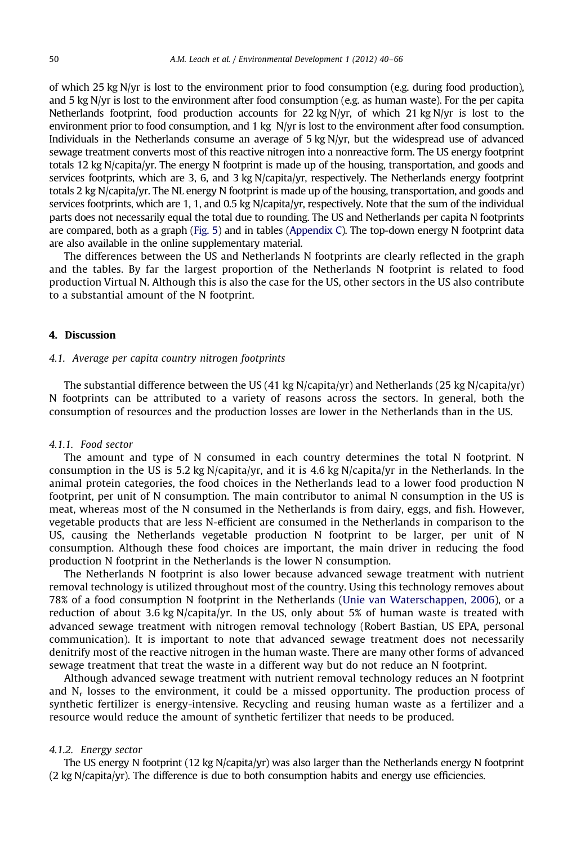of which 25 kg N/yr is lost to the environment prior to food consumption (e.g. during food production), and 5 kg N/yr is lost to the environment after food consumption (e.g. as human waste). For the per capita Netherlands footprint, food production accounts for 22 kg N/yr, of which 21 kg N/yr is lost to the environment prior to food consumption, and 1 kg N/yr is lost to the environment after food consumption. Individuals in the Netherlands consume an average of 5 kg N/yr, but the widespread use of advanced sewage treatment converts most of this reactive nitrogen into a nonreactive form. The US energy footprint totals 12 kg N/capita/yr. The energy N footprint is made up of the housing, transportation, and goods and services footprints, which are 3, 6, and 3 kg N/capita/yr, respectively. The Netherlands energy footprint totals 2 kg N/capita/yr. The NL energy N footprint is made up of the housing, transportation, and goods and services footprints, which are 1, 1, and 0.5 kg N/capita/yr, respectively. Note that the sum of the individual parts does not necessarily equal the total due to rounding. The US and Netherlands per capita N footprints are compared, both as a graph [\(Fig. 5](#page-9-0)) and in tables [\(Appendix C](#page-24-0)). The top-down energy N footprint data are also available in the online supplementary material.

The differences between the US and Netherlands N footprints are clearly reflected in the graph and the tables. By far the largest proportion of the Netherlands N footprint is related to food production Virtual N. Although this is also the case for the US, other sectors in the US also contribute to a substantial amount of the N footprint.

#### 4. Discussion

### 4.1. Average per capita country nitrogen footprints

The substantial difference between the US (41 kg N/capita/yr) and Netherlands (25 kg N/capita/yr) N footprints can be attributed to a variety of reasons across the sectors. In general, both the consumption of resources and the production losses are lower in the Netherlands than in the US.

## 4.1.1. Food sector

The amount and type of N consumed in each country determines the total N footprint. N consumption in the US is 5.2 kg N/capita/yr, and it is 4.6 kg N/capita/yr in the Netherlands. In the animal protein categories, the food choices in the Netherlands lead to a lower food production N footprint, per unit of N consumption. The main contributor to animal N consumption in the US is meat, whereas most of the N consumed in the Netherlands is from dairy, eggs, and fish. However, vegetable products that are less N-efficient are consumed in the Netherlands in comparison to the US, causing the Netherlands vegetable production N footprint to be larger, per unit of N consumption. Although these food choices are important, the main driver in reducing the food production N footprint in the Netherlands is the lower N consumption.

The Netherlands N footprint is also lower because advanced sewage treatment with nutrient removal technology is utilized throughout most of the country. Using this technology removes about 78% of a food consumption N footprint in the Netherlands (Unie van Waterschappen, 2006), or a reduction of about 3.6 kg N/capita/yr. In the US, only about 5% of human waste is treated with advanced sewage treatment with nitrogen removal technology (Robert Bastian, US EPA, personal communication). It is important to note that advanced sewage treatment does not necessarily denitrify most of the reactive nitrogen in the human waste. There are many other forms of advanced sewage treatment that treat the waste in a different way but do not reduce an N footprint.

Although advanced sewage treatment with nutrient removal technology reduces an N footprint and  $N_r$  losses to the environment, it could be a missed opportunity. The production process of synthetic fertilizer is energy-intensive. Recycling and reusing human waste as a fertilizer and a resource would reduce the amount of synthetic fertilizer that needs to be produced.

#### 4.1.2. Energy sector

The US energy N footprint (12 kg N/capita/yr) was also larger than the Netherlands energy N footprint (2 kg N/capita/yr). The difference is due to both consumption habits and energy use efficiencies.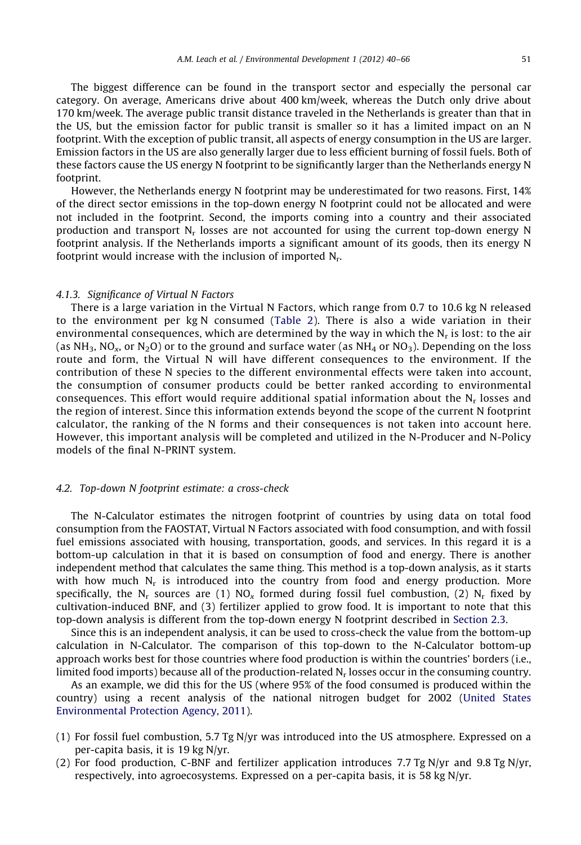The biggest difference can be found in the transport sector and especially the personal car category. On average, Americans drive about 400 km/week, whereas the Dutch only drive about 170 km/week. The average public transit distance traveled in the Netherlands is greater than that in the US, but the emission factor for public transit is smaller so it has a limited impact on an N footprint. With the exception of public transit, all aspects of energy consumption in the US are larger. Emission factors in the US are also generally larger due to less efficient burning of fossil fuels. Both of these factors cause the US energy N footprint to be significantly larger than the Netherlands energy N footprint.

However, the Netherlands energy N footprint may be underestimated for two reasons. First, 14% of the direct sector emissions in the top-down energy N footprint could not be allocated and were not included in the footprint. Second, the imports coming into a country and their associated production and transport  $N_r$  losses are not accounted for using the current top-down energy  $N$ footprint analysis. If the Netherlands imports a significant amount of its goods, then its energy N footprint would increase with the inclusion of imported  $N_r$ .

#### 4.1.3. Significance of Virtual N Factors

There is a large variation in the Virtual N Factors, which range from 0.7 to 10.6 kg N released to the environment per kg N consumed [\(Table 2\)](#page-6-0). There is also a wide variation in their environmental consequences, which are determined by the way in which the  $N_r$  is lost: to the air (as NH<sub>3</sub>, NO<sub>y</sub>, or N<sub>2</sub>O) or to the ground and surface water (as NH<sub>4</sub> or NO<sub>3</sub>). Depending on the loss route and form, the Virtual N will have different consequences to the environment. If the contribution of these N species to the different environmental effects were taken into account, the consumption of consumer products could be better ranked according to environmental consequences. This effort would require additional spatial information about the  $N_r$  losses and the region of interest. Since this information extends beyond the scope of the current N footprint calculator, the ranking of the N forms and their consequences is not taken into account here. However, this important analysis will be completed and utilized in the N-Producer and N-Policy models of the final N-PRINT system.

#### 4.2. Top-down N footprint estimate: a cross-check

The N-Calculator estimates the nitrogen footprint of countries by using data on total food consumption from the FAOSTAT, Virtual N Factors associated with food consumption, and with fossil fuel emissions associated with housing, transportation, goods, and services. In this regard it is a bottom-up calculation in that it is based on consumption of food and energy. There is another independent method that calculates the same thing. This method is a top-down analysis, as it starts with how much  $N_r$  is introduced into the country from food and energy production. More specifically, the N<sub>r</sub> sources are (1) NO<sub>x</sub> formed during fossil fuel combustion, (2) N<sub>r</sub> fixed by cultivation-induced BNF, and (3) fertilizer applied to grow food. It is important to note that this top-down analysis is different from the top-down energy N footprint described in [Section 2.3](#page-7-0).

Since this is an independent analysis, it can be used to cross-check the value from the bottom-up calculation in N-Calculator. The comparison of this top-down to the N-Calculator bottom-up approach works best for those countries where food production is within the countries' borders (i.e., limited food imports) because all of the production-related  $N_r$  losses occur in the consuming country.

As an example, we did this for the US (where 95% of the food consumed is produced within the country) using a recent analysis of the national nitrogen budget for 2002 (United States Environmental Protection Agency, 2011).

- (1) For fossil fuel combustion, 5.7 Tg N/yr was introduced into the US atmosphere. Expressed on a per-capita basis, it is 19 kg N/yr.
- (2) For food production, C-BNF and fertilizer application introduces 7.7 Tg N/yr and 9.8 Tg N/yr, respectively, into agroecosystems. Expressed on a per-capita basis, it is 58 kg N/yr.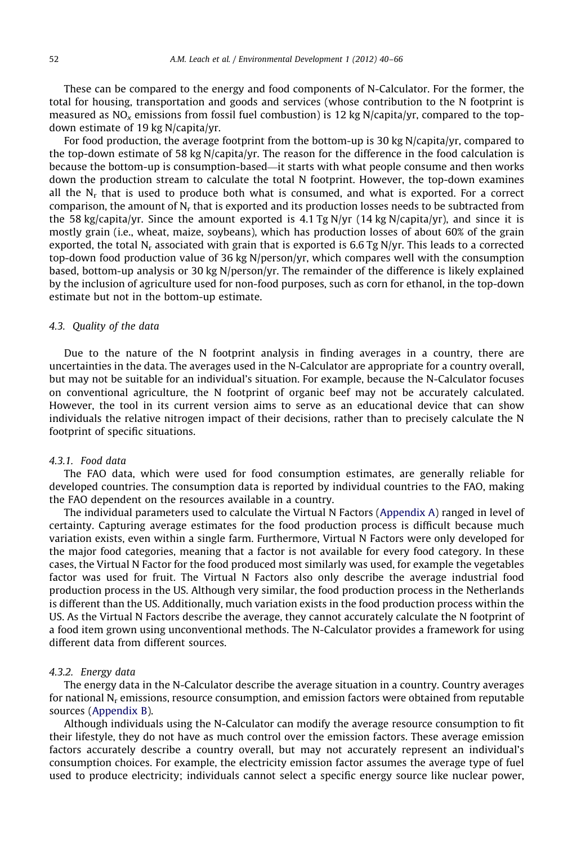These can be compared to the energy and food components of N-Calculator. For the former, the total for housing, transportation and goods and services (whose contribution to the N footprint is measured as  $NO<sub>x</sub>$  emissions from fossil fuel combustion) is 12 kg N/capita/yr, compared to the topdown estimate of 19 kg N/capita/yr.

For food production, the average footprint from the bottom-up is 30 kg N/capita/yr, compared to the top-down estimate of 58 kg N/capita/yr. The reason for the difference in the food calculation is because the bottom-up is consumption-based—it starts with what people consume and then works down the production stream to calculate the total N footprint. However, the top-down examines all the  $N_r$  that is used to produce both what is consumed, and what is exported. For a correct comparison, the amount of  $N_r$  that is exported and its production losses needs to be subtracted from the 58 kg/capita/yr. Since the amount exported is 4.1 Tg N/yr (14 kg N/capita/yr), and since it is mostly grain (i.e., wheat, maize, soybeans), which has production losses of about 60% of the grain exported, the total  $N_r$  associated with grain that is exported is 6.6 Tg N/yr. This leads to a corrected top-down food production value of 36 kg N/person/yr, which compares well with the consumption based, bottom-up analysis or 30 kg N/person/yr. The remainder of the difference is likely explained by the inclusion of agriculture used for non-food purposes, such as corn for ethanol, in the top-down estimate but not in the bottom-up estimate.

#### 4.3. Quality of the data

Due to the nature of the N footprint analysis in finding averages in a country, there are uncertainties in the data. The averages used in the N-Calculator are appropriate for a country overall, but may not be suitable for an individual's situation. For example, because the N-Calculator focuses on conventional agriculture, the N footprint of organic beef may not be accurately calculated. However, the tool in its current version aims to serve as an educational device that can show individuals the relative nitrogen impact of their decisions, rather than to precisely calculate the N footprint of specific situations.

# 4.3.1. Food data

The FAO data, which were used for food consumption estimates, are generally reliable for developed countries. The consumption data is reported by individual countries to the FAO, making the FAO dependent on the resources available in a country.

The individual parameters used to calculate the Virtual N Factors [\(Appendix A](#page-24-0)) ranged in level of certainty. Capturing average estimates for the food production process is difficult because much variation exists, even within a single farm. Furthermore, Virtual N Factors were only developed for the major food categories, meaning that a factor is not available for every food category. In these cases, the Virtual N Factor for the food produced most similarly was used, for example the vegetables factor was used for fruit. The Virtual N Factors also only describe the average industrial food production process in the US. Although very similar, the food production process in the Netherlands is different than the US. Additionally, much variation exists in the food production process within the US. As the Virtual N Factors describe the average, they cannot accurately calculate the N footprint of a food item grown using unconventional methods. The N-Calculator provides a framework for using different data from different sources.

#### 4.3.2. Energy data

The energy data in the N-Calculator describe the average situation in a country. Country averages for national  $N_r$  emissions, resource consumption, and emission factors were obtained from reputable sources [\(Appendix B\)](#page-14-0).

Although individuals using the N-Calculator can modify the average resource consumption to fit their lifestyle, they do not have as much control over the emission factors. These average emission factors accurately describe a country overall, but may not accurately represent an individual's consumption choices. For example, the electricity emission factor assumes the average type of fuel used to produce electricity; individuals cannot select a specific energy source like nuclear power,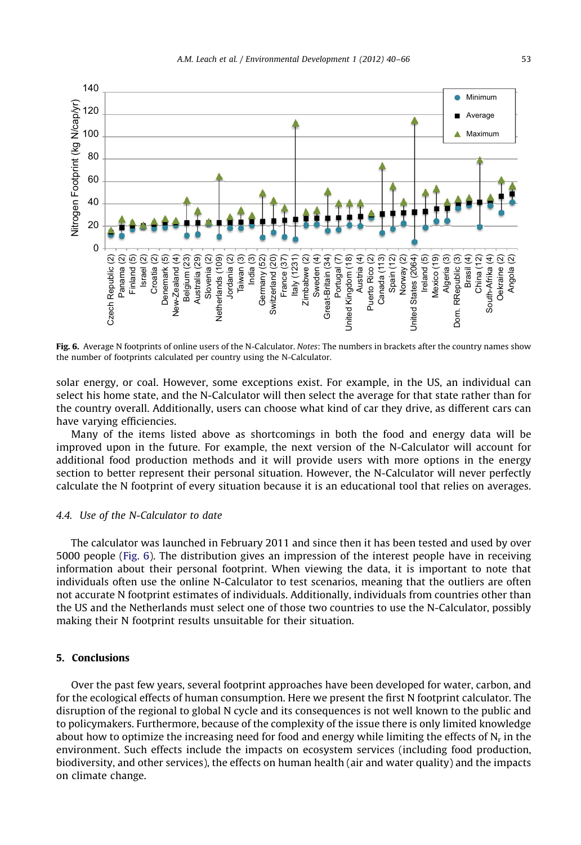

Fig. 6. Average N footprints of online users of the N-Calculator. Notes: The numbers in brackets after the country names show the number of footprints calculated per country using the N-Calculator.

solar energy, or coal. However, some exceptions exist. For example, in the US, an individual can select his home state, and the N-Calculator will then select the average for that state rather than for the country overall. Additionally, users can choose what kind of car they drive, as different cars can have varying efficiencies.

Many of the items listed above as shortcomings in both the food and energy data will be improved upon in the future. For example, the next version of the N-Calculator will account for additional food production methods and it will provide users with more options in the energy section to better represent their personal situation. However, the N-Calculator will never perfectly calculate the N footprint of every situation because it is an educational tool that relies on averages.

#### 4.4. Use of the N-Calculator to date

The calculator was launched in February 2011 and since then it has been tested and used by over 5000 people (Fig. 6). The distribution gives an impression of the interest people have in receiving information about their personal footprint. When viewing the data, it is important to note that individuals often use the online N-Calculator to test scenarios, meaning that the outliers are often not accurate N footprint estimates of individuals. Additionally, individuals from countries other than the US and the Netherlands must select one of those two countries to use the N-Calculator, possibly making their N footprint results unsuitable for their situation.

# 5. Conclusions

Over the past few years, several footprint approaches have been developed for water, carbon, and for the ecological effects of human consumption. Here we present the first N footprint calculator. The disruption of the regional to global N cycle and its consequences is not well known to the public and to policymakers. Furthermore, because of the complexity of the issue there is only limited knowledge about how to optimize the increasing need for food and energy while limiting the effects of  $N_r$  in the environment. Such effects include the impacts on ecosystem services (including food production, biodiversity, and other services), the effects on human health (air and water quality) and the impacts on climate change.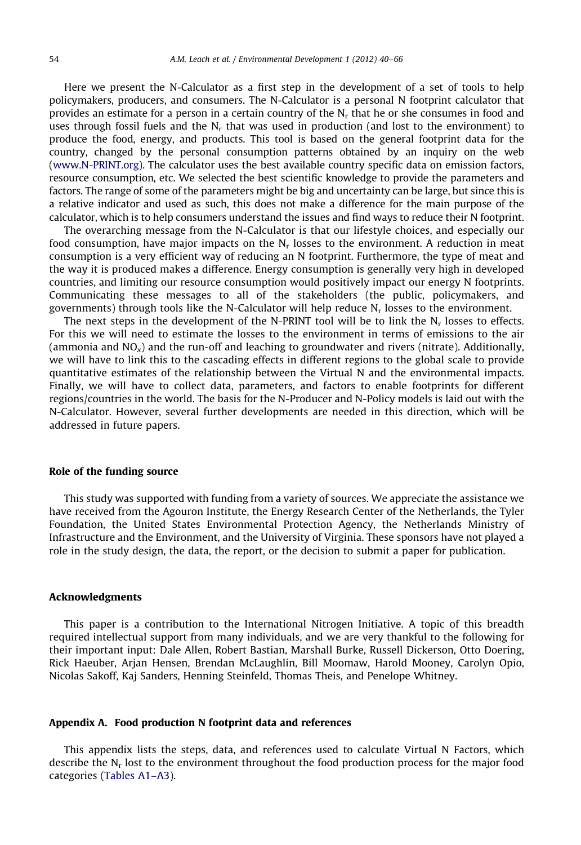<span id="page-14-0"></span>Here we present the N-Calculator as a first step in the development of a set of tools to help policymakers, producers, and consumers. The N-Calculator is a personal N footprint calculator that provides an estimate for a person in a certain country of the  $N_r$  that he or she consumes in food and uses through fossil fuels and the  $N_r$  that was used in production (and lost to the environment) to produce the food, energy, and products. This tool is based on the general footprint data for the country, changed by the personal consumption patterns obtained by an inquiry on the web ([www.N-PRINT.org\)](www.N-PRINT.org). The calculator uses the best available country specific data on emission factors, resource consumption, etc. We selected the best scientific knowledge to provide the parameters and factors. The range of some of the parameters might be big and uncertainty can be large, but since this is a relative indicator and used as such, this does not make a difference for the main purpose of the calculator, which is to help consumers understand the issues and find ways to reduce their N footprint.

The overarching message from the N-Calculator is that our lifestyle choices, and especially our food consumption, have major impacts on the  $N_r$  losses to the environment. A reduction in meat consumption is a very efficient way of reducing an N footprint. Furthermore, the type of meat and the way it is produced makes a difference. Energy consumption is generally very high in developed countries, and limiting our resource consumption would positively impact our energy N footprints. Communicating these messages to all of the stakeholders (the public, policymakers, and governments) through tools like the N-Calculator will help reduce Nr losses to the environment.

The next steps in the development of the N-PRINT tool will be to link the  $N_r$  losses to effects. For this we will need to estimate the losses to the environment in terms of emissions to the air (ammonia and  $NO<sub>x</sub>$ ) and the run-off and leaching to groundwater and rivers (nitrate). Additionally, we will have to link this to the cascading effects in different regions to the global scale to provide quantitative estimates of the relationship between the Virtual N and the environmental impacts. Finally, we will have to collect data, parameters, and factors to enable footprints for different regions/countries in the world. The basis for the N-Producer and N-Policy models is laid out with the N-Calculator. However, several further developments are needed in this direction, which will be addressed in future papers.

#### Role of the funding source

This study was supported with funding from a variety of sources. We appreciate the assistance we have received from the Agouron Institute, the Energy Research Center of the Netherlands, the Tyler Foundation, the United States Environmental Protection Agency, the Netherlands Ministry of Infrastructure and the Environment, and the University of Virginia. These sponsors have not played a role in the study design, the data, the report, or the decision to submit a paper for publication.

#### Acknowledgments

This paper is a contribution to the International Nitrogen Initiative. A topic of this breadth required intellectual support from many individuals, and we are very thankful to the following for their important input: Dale Allen, Robert Bastian, Marshall Burke, Russell Dickerson, Otto Doering, Rick Haeuber, Arjan Hensen, Brendan McLaughlin, Bill Moomaw, Harold Mooney, Carolyn Opio, Nicolas Sakoff, Kaj Sanders, Henning Steinfeld, Thomas Theis, and Penelope Whitney.

### Appendix A. Food production N footprint data and references

This appendix lists the steps, data, and references used to calculate Virtual N Factors, which describe the Nr lost to the environment throughout the food production process for the major food categories [\(Tables A1–A3\)](#page-15-0).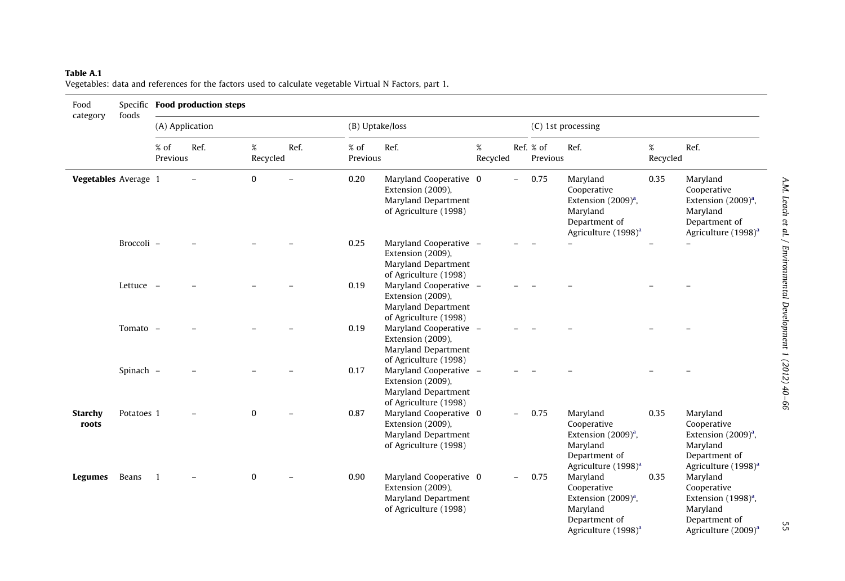# <span id="page-15-0"></span>Table A.1

| Food                    | foods      |                  | Specific Food production steps |               |      |                  |                                                                                             |                  |           |                                                                                                                   |               |                                                                                                                     |  |  |
|-------------------------|------------|------------------|--------------------------------|---------------|------|------------------|---------------------------------------------------------------------------------------------|------------------|-----------|-------------------------------------------------------------------------------------------------------------------|---------------|---------------------------------------------------------------------------------------------------------------------|--|--|
| category                |            | (A) Application  |                                |               |      | (B) Uptake/loss  |                                                                                             |                  |           | (C) 1st processing                                                                                                |               |                                                                                                                     |  |  |
|                         |            | % of<br>Previous | Ref.                           | %<br>Recycled | Ref. | % of<br>Previous | Ref.                                                                                        | $\%$<br>Recycled | Ref. % of | Ref.<br>Previous                                                                                                  | %<br>Recycled | Ref.                                                                                                                |  |  |
| Vegetables Average 1    |            |                  |                                | 0             |      | 0.20             | Maryland Cooperative 0<br>Extension (2009),<br>Maryland Department<br>of Agriculture (1998) |                  | 0.75      | Maryland<br>Cooperative<br>Extension $(2009)^a$ ,<br>Maryland<br>Department of<br>Agriculture (1998) <sup>a</sup> | 0.35          | Maryland<br>Cooperative<br>Extension $(2009)^a$ ,<br>Maryland<br>Department of<br>Agriculture (1998) <sup>a</sup>   |  |  |
|                         | Broccoli - |                  |                                |               |      | 0.25             | Maryland Cooperative -<br>Extension (2009),<br>Maryland Department<br>of Agriculture (1998) |                  |           |                                                                                                                   |               |                                                                                                                     |  |  |
|                         | Lettuce -  |                  |                                |               |      | 0.19             | Maryland Cooperative -<br>Extension (2009),<br>Maryland Department<br>of Agriculture (1998) |                  |           |                                                                                                                   |               |                                                                                                                     |  |  |
|                         | Tomato -   |                  |                                |               |      | 0.19             | Maryland Cooperative -<br>Extension (2009),<br>Maryland Department<br>of Agriculture (1998) |                  |           |                                                                                                                   |               |                                                                                                                     |  |  |
|                         | Spinach -  |                  |                                |               |      | 0.17             | Maryland Cooperative -<br>Extension (2009),<br>Maryland Department<br>of Agriculture (1998) |                  |           |                                                                                                                   |               |                                                                                                                     |  |  |
| <b>Starchy</b><br>roots | Potatoes 1 |                  |                                | $\mathbf{0}$  |      | 0.87             | Maryland Cooperative 0<br>Extension (2009),<br>Maryland Department<br>of Agriculture (1998) |                  | 0.75      | Maryland<br>Cooperative<br>Extension $(2009)^a$ ,<br>Maryland<br>Department of<br>Agriculture (1998) <sup>a</sup> | 0.35          | Maryland<br>Cooperative<br>Extension $(2009)^a$ ,<br>Maryland<br>Department of<br>Agriculture (1998) <sup>a</sup>   |  |  |
| <b>Legumes</b>          | Beans      | $\overline{1}$   |                                | $\mathbf{0}$  |      | 0.90             | Maryland Cooperative 0<br>Extension (2009),<br>Maryland Department<br>of Agriculture (1998) |                  | 0.75      | Maryland<br>Cooperative<br>Extension $(2009)^a$ ,<br>Maryland<br>Department of<br>Agriculture (1998) <sup>a</sup> | 0.35          | Maryland<br>Cooperative<br>Extension $(1998)^{a}$ ,<br>Maryland<br>Department of<br>Agriculture (2009) <sup>a</sup> |  |  |

Vegetables: data and references for the factors used to calculate vegetable Virtual N Factors, part 1.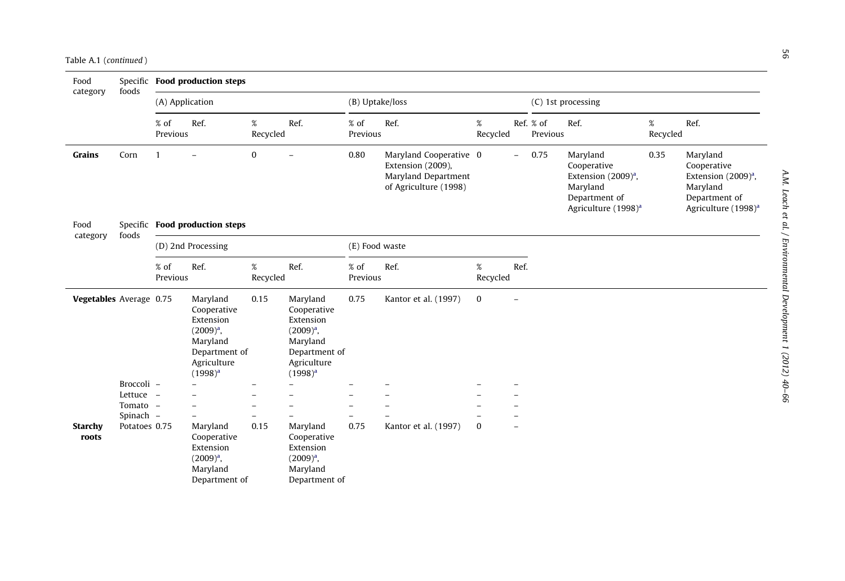| Food                    | foods                                   | Specific Food production steps |                                                                                                                    |                          |                                                                                                                    |                          |                                                                                             |                  |                          |                       |                                                                                                                   |                                                                                          |                                                           |  |  |
|-------------------------|-----------------------------------------|--------------------------------|--------------------------------------------------------------------------------------------------------------------|--------------------------|--------------------------------------------------------------------------------------------------------------------|--------------------------|---------------------------------------------------------------------------------------------|------------------|--------------------------|-----------------------|-------------------------------------------------------------------------------------------------------------------|------------------------------------------------------------------------------------------|-----------------------------------------------------------|--|--|
| category                |                                         | (A) Application                |                                                                                                                    |                          |                                                                                                                    | (B) Uptake/loss          |                                                                                             |                  |                          |                       | (C) 1st processing                                                                                                | $\%$<br>Ref.<br>Recycled<br>0.35<br>Maryland<br>Cooperative<br>Maryland<br>Department of |                                                           |  |  |
|                         |                                         | % of<br>Previous               | Ref.                                                                                                               | %<br>Recycled            | Ref.                                                                                                               | % of<br>Previous         | Ref.                                                                                        | $\%$<br>Recycled |                          | Ref. % of<br>Previous | Ref.                                                                                                              |                                                                                          |                                                           |  |  |
| Grains                  | Corn                                    | $\mathbf{1}$                   |                                                                                                                    | $\bf{0}$                 | -                                                                                                                  | 0.80                     | Maryland Cooperative 0<br>Extension (2009),<br>Maryland Department<br>of Agriculture (1998) |                  | $\overline{\phantom{a}}$ | 0.75                  | Maryland<br>Cooperative<br>Extension $(2009)^a$ ,<br>Maryland<br>Department of<br>Agriculture (1998) <sup>a</sup> |                                                                                          | Extension $(2009)^a$ ,<br>Agriculture (1998) <sup>a</sup> |  |  |
| Food<br>category        | Specific Food production steps<br>foods |                                |                                                                                                                    |                          |                                                                                                                    |                          |                                                                                             |                  |                          |                       |                                                                                                                   |                                                                                          |                                                           |  |  |
|                         | (D) 2nd Processing                      |                                |                                                                                                                    |                          |                                                                                                                    | (E) Food waste           |                                                                                             |                  |                          |                       |                                                                                                                   |                                                                                          |                                                           |  |  |
| % of                    |                                         | Previous                       | $\%$<br>Ref.<br>Ref.<br>Recycled                                                                                   |                          | % of<br>Previous                                                                                                   | Ref.                     | $\%$<br>Recycled                                                                            | Ref.             |                          |                       |                                                                                                                   |                                                                                          |                                                           |  |  |
| Vegetables Average 0.75 |                                         |                                | Maryland<br>Cooperative<br>Extension<br>$(2009)^{a}$ ,<br>Maryland<br>Department of<br>Agriculture<br>$(1998)^{a}$ | 0.15                     | Maryland<br>Cooperative<br>Extension<br>$(2009)^{a}$ ,<br>Maryland<br>Department of<br>Agriculture<br>$(1998)^{a}$ | 0.75                     | Kantor et al. (1997)                                                                        | 0                |                          |                       |                                                                                                                   |                                                                                          |                                                           |  |  |
|                         | Broccoli -<br>Lettuce -                 |                                | $\overline{a}$                                                                                                     | -<br>Ξ.                  | $\overline{\phantom{0}}$                                                                                           |                          |                                                                                             |                  |                          |                       |                                                                                                                   |                                                                                          |                                                           |  |  |
|                         | Tomato -                                |                                |                                                                                                                    | $\overline{\phantom{a}}$ | $\equiv$                                                                                                           | $\overline{\phantom{0}}$ |                                                                                             | -                |                          |                       |                                                                                                                   |                                                                                          |                                                           |  |  |
|                         | Spinach -                               |                                |                                                                                                                    | ÷,                       |                                                                                                                    | $\overline{\phantom{0}}$ |                                                                                             |                  |                          |                       |                                                                                                                   |                                                                                          |                                                           |  |  |
| <b>Starchy</b><br>roots | Potatoes 0.75                           |                                | Maryland<br>Cooperative<br>Extension<br>$(2009)^{a}$ ,<br>Maryland<br>Department of                                | 0.15                     | Maryland<br>Cooperative<br>Extension<br>$(2009)^{a}$ ,<br>Maryland<br>Department of                                | 0.75                     | Kantor et al. (1997)                                                                        | $\mathbf{0}$     | $\qquad \qquad -$        |                       |                                                                                                                   |                                                                                          |                                                           |  |  |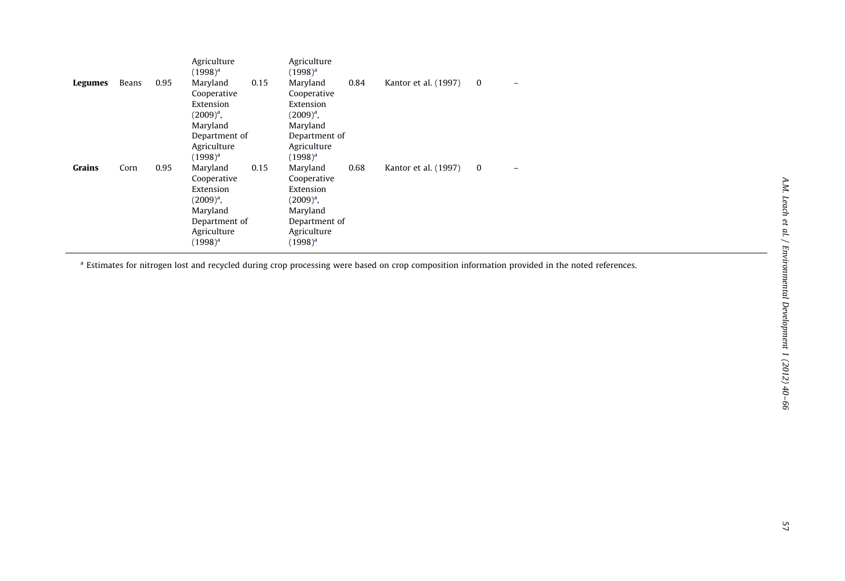<span id="page-17-0"></span>

|                |       |      | Agriculture<br>(1998) <sup>a</sup>                                                                                      |      | Agriculture<br>$(1998)^{a}$                                                                                        |      |                      |          |  |
|----------------|-------|------|-------------------------------------------------------------------------------------------------------------------------|------|--------------------------------------------------------------------------------------------------------------------|------|----------------------|----------|--|
| <b>Legumes</b> | Beans | 0.95 | Maryland<br>Cooperative<br>Extension<br>$(2009)^a$ ,<br>Maryland<br>Department of<br>Agriculture<br>$(1998)^{a}$        | 0.15 | Maryland<br>Cooperative<br>Extension<br>$(2009)^{a}$ ,<br>Maryland<br>Department of<br>Agriculture<br>$(1998)^{a}$ | 0.84 | Kantor et al. (1997) | $\Omega$ |  |
| <b>Grains</b>  | Corn  | 0.95 | Maryland<br>Cooperative<br>Extension<br>$(2009)^a$ ,<br>Maryland<br>Department of<br>Agriculture<br>(1998) <sup>a</sup> | 0.15 | Maryland<br>Cooperative<br>Extension<br>$(2009)^{a}$ ,<br>Maryland<br>Department of<br>Agriculture<br>$(1998)^{a}$ | 0.68 | Kantor et al. (1997) | $\Omega$ |  |

<sup>a</sup> Estimates for nitrogen lost and recycled during crop processing were based on crop composition information provided in the noted references.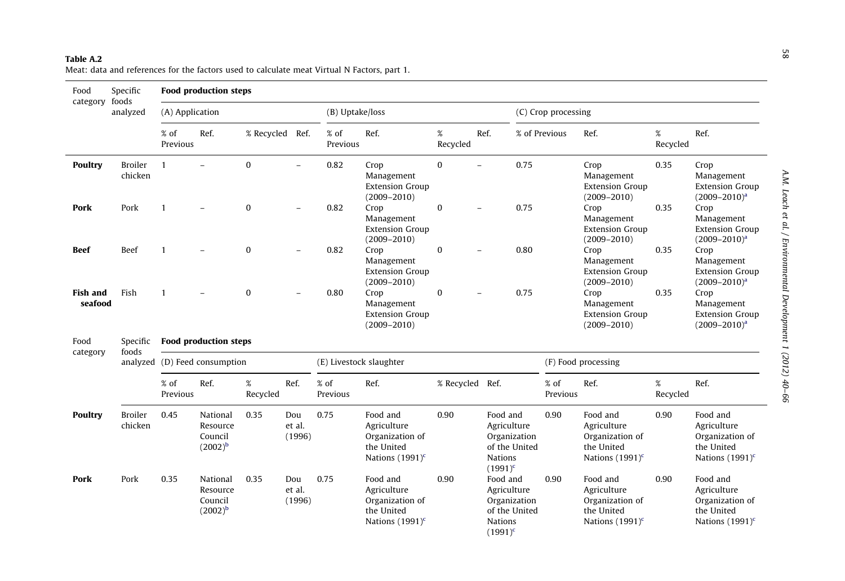#### Table A.2

| Food                       | Specific<br>foods         |                               | Food production steps                           |                  |                          |                         |                                                                                |                 |                                                                                          |                     |                                                                                |                  |                                                                                |
|----------------------------|---------------------------|-------------------------------|-------------------------------------------------|------------------|--------------------------|-------------------------|--------------------------------------------------------------------------------|-----------------|------------------------------------------------------------------------------------------|---------------------|--------------------------------------------------------------------------------|------------------|--------------------------------------------------------------------------------|
| category                   | analyzed                  | (A) Application               |                                                 |                  |                          | (B) Uptake/loss         |                                                                                |                 |                                                                                          | (C) Crop processing |                                                                                |                  |                                                                                |
|                            |                           | % of<br>Previous              | Ref.                                            | % Recycled Ref.  |                          | % of<br>Previous        | Ref.                                                                           | %<br>Recycled   | Ref.                                                                                     | % of Previous       | Ref.                                                                           | $\%$<br>Recycled | Ref.                                                                           |
| <b>Poultry</b>             | <b>Broiler</b><br>chicken | $\mathbf{1}$                  | $\equiv$                                        | $\Omega$         | $\equiv$                 | 0.82                    | Crop<br>Management<br><b>Extension Group</b><br>$(2009 - 2010)$                | $\mathbf{0}$    | 0.75<br>$\overline{a}$                                                                   |                     | Crop<br>Management<br><b>Extension Group</b><br>$(2009 - 2010)$                | 0.35             | Crop<br>Management<br><b>Extension Group</b><br>$(2009 - 2010)^a$              |
| Pork                       | Pork                      | $\mathbf{1}$                  |                                                 | $\Omega$         | $\overline{\phantom{0}}$ | 0.82                    | Crop<br>Management<br><b>Extension Group</b><br>$(2009 - 2010)$                | $\bf{0}$        | 0.75                                                                                     |                     | Crop<br>Management<br><b>Extension Group</b><br>$(2009 - 2010)$                | 0.35             | Crop<br>Management<br><b>Extension Group</b><br>$(2009 - 2010)^a$              |
| <b>Beef</b>                | Beef                      | $\mathbf{1}$                  |                                                 | $\Omega$         | $\overline{\phantom{0}}$ | 0.82                    | Crop<br>Management<br><b>Extension Group</b><br>$(2009 - 2010)$                | $\mathbf{0}$    | 0.80                                                                                     |                     | Crop<br>Management<br><b>Extension Group</b><br>$(2009 - 2010)$                | 0.35             | Crop<br>Management<br><b>Extension Group</b><br>$(2009 - 2010)^a$              |
| <b>Fish and</b><br>seafood | Fish                      | $\mathbf{1}$                  |                                                 | $\mathbf{0}$     |                          | 0.80                    | Crop<br>Management<br><b>Extension Group</b><br>$(2009 - 2010)$                | $\mathbf{0}$    | 0.75                                                                                     |                     | Crop<br>Management<br><b>Extension Group</b><br>$(2009 - 2010)$                | 0.35             | Crop<br>Management<br><b>Extension Group</b><br>$(2009 - 2010)^a$              |
| Food                       | Specific                  |                               | Food production steps                           |                  |                          |                         |                                                                                |                 |                                                                                          |                     |                                                                                |                  |                                                                                |
| category                   | foods                     | analyzed (D) Feed consumption |                                                 |                  |                          | (E) Livestock slaughter |                                                                                |                 |                                                                                          |                     | (F) Food processing                                                            |                  |                                                                                |
|                            |                           | % of<br>Previous              | Ref.                                            | $\%$<br>Recycled | Ref.                     | % of<br>Previous        | Ref.                                                                           | % Recycled Ref. |                                                                                          | % of<br>Previous    | Ref.                                                                           | $\%$<br>Recycled | Ref.                                                                           |
| <b>Poultry</b>             | <b>Broiler</b><br>chicken | 0.45                          | National<br>Resource<br>Council<br>$(2002)^{b}$ | 0.35             | Dou<br>et al.<br>(1996)  | 0.75                    | Food and<br>Agriculture<br>Organization of<br>the United<br>Nations $(1991)^c$ | 0.90            | Food and<br>Agriculture<br>Organization<br>of the United<br><b>Nations</b><br>$(1991)^c$ | 0.90                | Food and<br>Agriculture<br>Organization of<br>the United<br>Nations $(1991)^c$ | 0.90             | Food and<br>Agriculture<br>Organization of<br>the United<br>Nations $(1991)^c$ |
| Pork                       | Pork                      | 0.35                          | National<br>Resource<br>Council<br>$(2002)^{b}$ | 0.35             | Dou<br>et al.<br>(1996)  | 0.75                    | Food and<br>Agriculture<br>Organization of<br>the United<br>Nations $(1991)^c$ | 0.90            | Food and<br>Agriculture<br>Organization<br>of the United<br><b>Nations</b><br>$(1991)^c$ | 0.90                | Food and<br>Agriculture<br>Organization of<br>the United<br>Nations $(1991)^c$ | 0.90             | Food and<br>Agriculture<br>Organization of<br>the United<br>Nations $(1991)^c$ |

Meat: data and references for the factors used to calculate meat Virtual N Factors, part 1.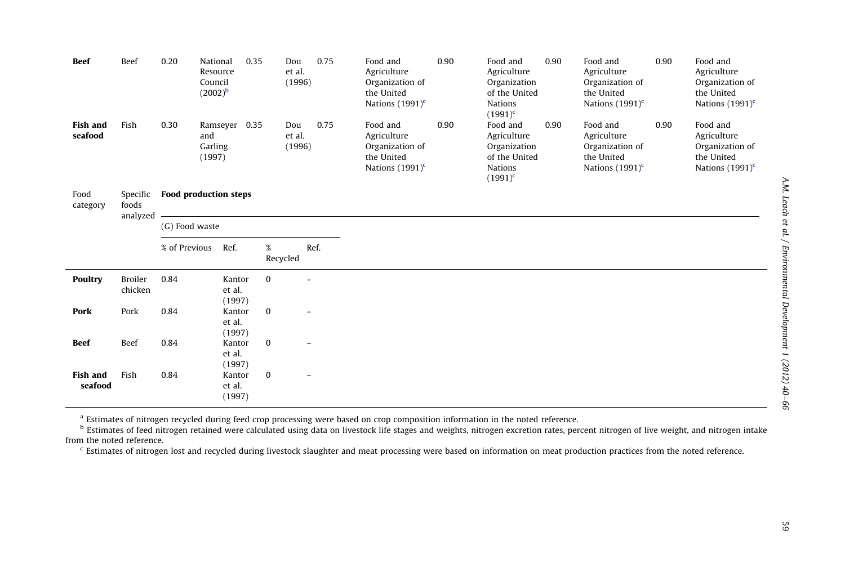<span id="page-19-0"></span>

| <b>Beef</b>                | Beef                      | 0.20                           | 0.35<br>National<br>Resource<br>Council<br>$(2002)^{b}$ | Dou<br>et al.<br>(1996) | 0.75 | Food and<br>Agriculture<br>Organization of<br>the United<br>Nations $(1991)^c$ | 0.90 | Food and<br>Agriculture<br>Organization<br>of the United<br><b>Nations</b><br>$(1991)^c$   | 0.90 | Food and<br>Agriculture<br>Organization of<br>the United<br>Nations $(1991)^c$ | 0.90 | Food and<br>Agriculture<br>Organization of<br>the United<br>Nations $(1991)^c$ |
|----------------------------|---------------------------|--------------------------------|---------------------------------------------------------|-------------------------|------|--------------------------------------------------------------------------------|------|--------------------------------------------------------------------------------------------|------|--------------------------------------------------------------------------------|------|--------------------------------------------------------------------------------|
| <b>Fish and</b><br>seafood | Fish                      | 0.30<br>and                    | Ramseyer 0.35<br>Garling<br>(1997)                      | Dou<br>et al.<br>(1996) | 0.75 | Food and<br>Agriculture<br>Organization of<br>the United<br>Nations $(1991)^c$ | 0.90 | Food and<br>Agriculture<br>Organization<br>of the United<br><b>Nations</b><br>$(1991)^{c}$ | 0.90 | Food and<br>Agriculture<br>Organization of<br>the United<br>Nations $(1991)^c$ | 0.90 | Food and<br>Agriculture<br>Organization of<br>the United<br>Nations $(1991)^c$ |
| Food<br>category           | foods<br>analyzed         | Specific Food production steps |                                                         |                         |      |                                                                                |      |                                                                                            |      |                                                                                |      |                                                                                |
|                            |                           | (G) Food waste                 |                                                         |                         |      |                                                                                |      |                                                                                            |      |                                                                                |      |                                                                                |
|                            |                           | % of Previous                  | Ref.                                                    | $\%$<br>Recycled        | Ref. |                                                                                |      |                                                                                            |      |                                                                                |      |                                                                                |
| <b>Poultry</b>             | <b>Broiler</b><br>chicken | 0.84                           | Kantor<br>et al.<br>(1997)                              | 0                       |      |                                                                                |      |                                                                                            |      |                                                                                |      |                                                                                |
| <b>Pork</b>                | Pork                      | 0.84                           | Kantor<br>et al.<br>(1997)                              | $\mathbf{0}$            |      |                                                                                |      |                                                                                            |      |                                                                                |      |                                                                                |
| <b>Beef</b>                | Beef                      | 0.84                           | Kantor<br>et al.<br>(1997)                              | $\mathbf{0}$            |      |                                                                                |      |                                                                                            |      |                                                                                |      |                                                                                |
| <b>Fish and</b><br>seafood | Fish                      | 0.84                           | Kantor<br>et al.<br>(1997)                              | $\mathbf{0}$            |      |                                                                                |      |                                                                                            |      |                                                                                |      |                                                                                |

<sup>a</sup> Estimates of nitrogen recycled during feed crop processing were based on crop composition information in the noted reference.<br><sup>b</sup> Estimates of feed nitrogen retained were calculated using data on livestock life stages from the noted reference.

<sup>c</sup> Estimates of nitrogen lost and recycled during livestock slaughter and meat processing were based on information on meat production practices from the noted reference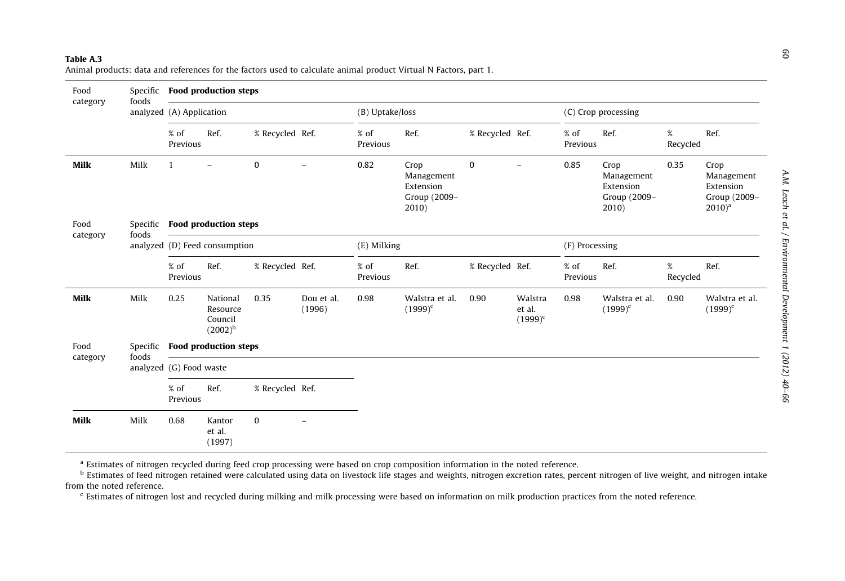# Table A.3

| Food                                                                    | Specific<br>foods |                          | <b>Food production steps</b>                    |                 |                          |                  |                                                          |                 |                                 |                  |                                                          |                  |                                                              |
|-------------------------------------------------------------------------|-------------------|--------------------------|-------------------------------------------------|-----------------|--------------------------|------------------|----------------------------------------------------------|-----------------|---------------------------------|------------------|----------------------------------------------------------|------------------|--------------------------------------------------------------|
|                                                                         |                   | analyzed (A) Application |                                                 |                 |                          | (B) Uptake/loss  |                                                          |                 |                                 |                  | (C) Crop processing                                      |                  |                                                              |
| category<br>Milk<br>Food<br>category<br><b>Milk</b><br>Food<br>category |                   | % of<br>Previous         | Ref.                                            | % Recycled Ref. |                          | % of<br>Previous | Ref.                                                     | % Recycled Ref. |                                 | % of<br>Previous | Ref.                                                     | $\%$<br>Recycled | Ref.                                                         |
|                                                                         | Milk              | 1                        | $\overline{\phantom{0}}$                        | $\bf{0}$        | $\overline{\phantom{0}}$ | 0.82             | Crop<br>Management<br>Extension<br>Group (2009-<br>2010) | $\bf{0}$        | $\overline{\phantom{a}}$        | 0.85             | Crop<br>Management<br>Extension<br>Group (2009-<br>2010) | 0.35             | Crop<br>Management<br>Extension<br>Group (2009-<br>$2010)^a$ |
|                                                                         | Specific<br>foods |                          | <b>Food production steps</b>                    |                 |                          |                  |                                                          |                 |                                 |                  |                                                          |                  |                                                              |
|                                                                         |                   |                          | analyzed (D) Feed consumption                   |                 |                          | (E) Milking      |                                                          |                 |                                 | (F) Processing   |                                                          |                  |                                                              |
|                                                                         |                   | % of<br>Previous         | Ref.                                            | % Recycled Ref. |                          | % of<br>Previous | Ref.                                                     | % Recycled Ref. |                                 | % of<br>Previous | Ref.                                                     | $\%$<br>Recycled | Ref.                                                         |
|                                                                         | Milk              | 0.25                     | National<br>Resource<br>Council<br>$(2002)^{b}$ | 0.35            | Dou et al.<br>(1996)     | 0.98             | Walstra et al.<br>$(1999)^c$                             | 0.90            | Walstra<br>et al.<br>$(1999)^c$ | 0.98             | Walstra et al.<br>$(1999)^c$                             | 0.90             | Walstra et al.<br>$(1999)^c$                                 |
|                                                                         | Specific          |                          | Food production steps                           |                 |                          |                  |                                                          |                 |                                 |                  |                                                          |                  |                                                              |
|                                                                         | foods             | analyzed (G) Food waste  |                                                 |                 |                          |                  |                                                          |                 |                                 |                  |                                                          |                  |                                                              |
|                                                                         |                   | % of<br>Previous         | Ref.                                            | % Recycled Ref. |                          |                  |                                                          |                 |                                 |                  |                                                          |                  |                                                              |
| <b>Milk</b>                                                             | Milk              | 0.68                     | Kantor<br>et al.<br>(1997)                      | $\bf{0}$        | $\overline{\phantom{0}}$ |                  |                                                          |                 |                                 |                  |                                                          |                  |                                                              |

Animal products: data and references for the factors used to calculate animal product Virtual N Factors, part 1.

<sup>a</sup> Estimates of nitrogen recycled during feed crop processing were based on crop composition information in the noted reference.<br><sup>b</sup> Estimates of feed nitrogen retained were calculated using data on livestock life stages from the noted reference.

<sup>c</sup> Estimates of nitrogen lost and recycled during milking and milk processing were based on information on milk production practices from the noted reference.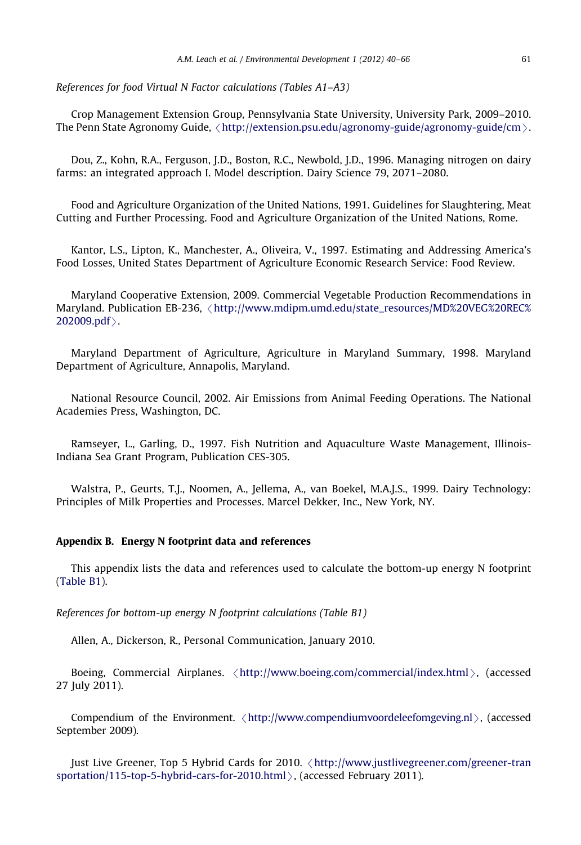References for food Virtual N Factor calculations (Tables A1–A3)

Crop Management Extension Group, Pennsylvania State University, University Park, 2009–2010. The Penn State Agronomy Guide,  $\langle$  [http://extension.psu.edu/agronomy-guide/agronomy-guide/cm](extension.psu.edu/agronomy-guide/agronomy-guide/cm) $\rangle$ .

Dou, Z., Kohn, R.A., Ferguson, J.D., Boston, R.C., Newbold, J.D., 1996. Managing nitrogen on dairy farms: an integrated approach I. Model description. Dairy Science 79, 2071–2080.

Food and Agriculture Organization of the United Nations, 1991. Guidelines for Slaughtering, Meat Cutting and Further Processing. Food and Agriculture Organization of the United Nations, Rome.

Kantor, L.S., Lipton, K., Manchester, A., Oliveira, V., 1997. Estimating and Addressing America's Food Losses, United States Department of Agriculture Economic Research Service: Food Review.

Maryland Cooperative Extension, 2009. Commercial Vegetable Production Recommendations in Maryland. Publication EB-236, <[http://www.mdipm.umd.edu/state\\_resources/MD%20VEG%20REC%](www.boeing.com/commercial/index.html)  $202009.pdf$ .

Maryland Department of Agriculture, Agriculture in Maryland Summary, 1998. Maryland Department of Agriculture, Annapolis, Maryland.

National Resource Council, 2002. Air Emissions from Animal Feeding Operations. The National Academies Press, Washington, DC.

Ramseyer, L., Garling, D., 1997. Fish Nutrition and Aquaculture Waste Management, Illinois-Indiana Sea Grant Program, Publication CES-305.

Walstra, P., Geurts, T.J., Noomen, A., Jellema, A., van Boekel, M.A.J.S., 1999. Dairy Technology: Principles of Milk Properties and Processes. Marcel Dekker, Inc., New York, NY.

### Appendix B. Energy N footprint data and references

This appendix lists the data and references used to calculate the bottom-up energy N footprint [\(Table B1\)](#page-22-0).

References for bottom-up energy N footprint calculations (Table B1)

Allen, A., Dickerson, R., Personal Communication, January 2010.

Boeing, Commercial Airplanes.  $\langle$ [http://www.boeing.com/commercial/index.html](www.boeing.com/commercial/index.html) $\rangle$ , (accessed 27 July 2011).

Compendium of the Environment.  $\langle h(t) \rangle$  [http://www.compendiumvoordeleefomgeving.nl](www.compendiumvoordeleefomgeving.nl)), (accessed September 2009).

Just Live Greener, Top 5 Hybrid Cards for 2010. /[http://www.justlivegreener.com/greener-tran](www.justlivegreener.com/greener-transportation/115-top-5-hybrid-cars-for-2010.html) [sportation/115-top-5-hybrid-cars-for-2010.html](www.justlivegreener.com/greener-transportation/115-top-5-hybrid-cars-for-2010.html) $\rangle$ , (accessed February 2011).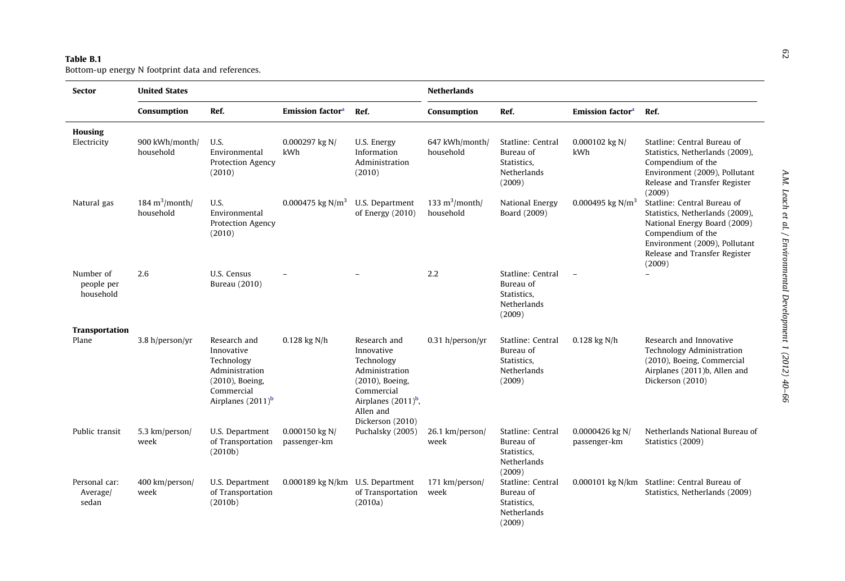#### <span id="page-22-0"></span>Table B.1

Bottom-up energy N footprint data and references.

| Sector                               | <b>United States</b>           |                                                                                                                              |                                |                                                                                                                                                        | <b>Netherlands</b>             |                                                                        |                                     |                                                                                                                                                                                                 |
|--------------------------------------|--------------------------------|------------------------------------------------------------------------------------------------------------------------------|--------------------------------|--------------------------------------------------------------------------------------------------------------------------------------------------------|--------------------------------|------------------------------------------------------------------------|-------------------------------------|-------------------------------------------------------------------------------------------------------------------------------------------------------------------------------------------------|
|                                      | Consumption                    | Ref.                                                                                                                         | Emission factor <sup>a</sup>   | Ref.                                                                                                                                                   | Consumption                    | Ref.                                                                   | <b>Emission factor</b> <sup>a</sup> | Ref.                                                                                                                                                                                            |
| <b>Housing</b><br>Electricity        | 900 kWh/month/<br>household    | U.S.<br>Environmental<br><b>Protection Agency</b><br>(2010)                                                                  | 0.000297 kg N/<br>kWh          | U.S. Energy<br>Information<br>Administration<br>(2010)                                                                                                 | 647 kWh/month/<br>household    | Statline: Central<br>Bureau of<br>Statistics.<br>Netherlands<br>(2009) | $0.000102$ kg N/<br>kWh             | Statline: Central Bureau of<br>Statistics, Netherlands (2009),<br>Compendium of the<br>Environment (2009), Pollutant<br>Release and Transfer Register<br>(2009)                                 |
| Natural gas                          | 184 $m^3$ /month/<br>household | U.S.<br>Environmental<br><b>Protection Agency</b><br>(2010)                                                                  | 0.000475 kg N/m <sup>3</sup>   | U.S. Department<br>of Energy (2010)                                                                                                                    | 133 $m^3$ /month/<br>household | National Energy<br>Board (2009)                                        | 0.000495 kg N/m <sup>3</sup>        | Statline: Central Bureau of<br>Statistics, Netherlands (2009),<br>National Energy Board (2009)<br>Compendium of the<br>Environment (2009), Pollutant<br>Release and Transfer Register<br>(2009) |
| Number of<br>people per<br>household | 2.6                            | U.S. Census<br><b>Bureau</b> (2010)                                                                                          |                                |                                                                                                                                                        | 2.2                            | Statline: Central<br>Bureau of<br>Statistics.<br>Netherlands<br>(2009) |                                     | $\overline{\phantom{0}}$                                                                                                                                                                        |
| Transportation<br>Plane              | 3.8 h/person/yr                | Research and<br>Innovative<br>Technology<br>Administration<br>(2010), Boeing,<br>Commercial<br>Airplanes (2011) <sup>b</sup> | $0.128$ kg N/h                 | Research and<br>Innovative<br>Technology<br>Administration<br>(2010), Boeing,<br>Commercial<br>Airplanes $(2011)^b$ ,<br>Allen and<br>Dickerson (2010) | $0.31$ h/person/yr             | Statline: Central<br>Bureau of<br>Statistics.<br>Netherlands<br>(2009) | $0.128$ kg N/h                      | Research and Innovative<br><b>Technology Administration</b><br>(2010), Boeing, Commercial<br>Airplanes (2011)b, Allen and<br>Dickerson (2010)                                                   |
| Public transit                       | 5.3 km/person/<br>week         | U.S. Department<br>of Transportation<br>(2010b)                                                                              | 0.000150 kg N/<br>passenger-km | Puchalsky (2005)                                                                                                                                       | 26.1 km/person/<br>week        | Statline: Central<br>Bureau of<br>Statistics,<br>Netherlands<br>(2009) | 0.0000426 kg N/<br>passenger-km     | Netherlands National Bureau of<br>Statistics (2009)                                                                                                                                             |
| Personal car:<br>Average/<br>sedan   | 400 km/person/<br>week         | U.S. Department<br>of Transportation<br>(2010 <sub>b</sub> )                                                                 | 0.000189 kg N/km               | U.S. Department<br>of Transportation<br>(2010a)                                                                                                        | 171 km/person/<br>week         | Statline: Central<br>Bureau of<br>Statistics,<br>Netherlands<br>(2009) | 0.000101 kg N/km                    | Statline: Central Bureau of<br>Statistics, Netherlands (2009)                                                                                                                                   |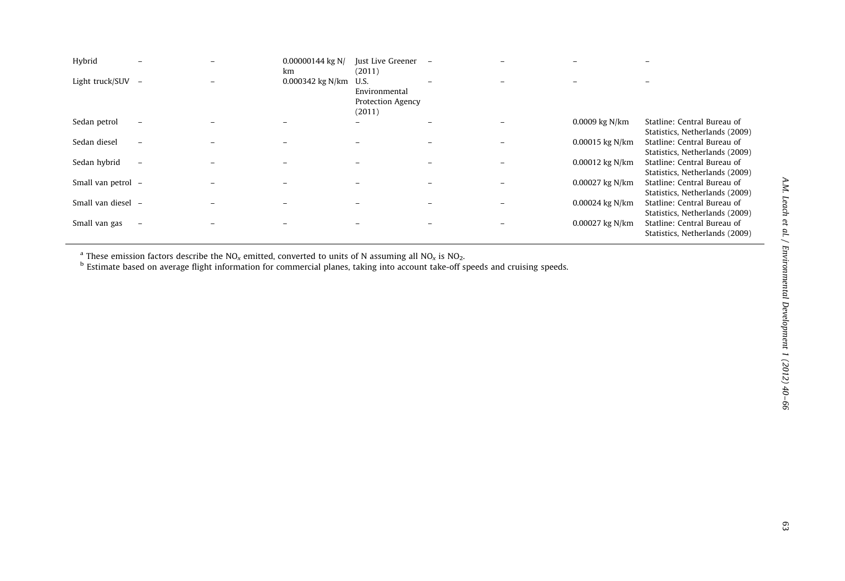<span id="page-23-0"></span>

| Hybrid<br>Light truck/SUV | $\overline{\phantom{a}}$ | $0.00000144$ kg N/<br>km<br>0.000342 kg N/km | Just Live Greener<br>(2011)<br>U.S.<br>Environmental<br><b>Protection Agency</b> | $\overline{\phantom{a}}$ | -                |                                                               |
|---------------------------|--------------------------|----------------------------------------------|----------------------------------------------------------------------------------|--------------------------|------------------|---------------------------------------------------------------|
| Sedan petrol              |                          |                                              | (2011)                                                                           |                          | $0.0009$ kg N/km | Statline: Central Bureau of<br>Statistics, Netherlands (2009) |
| Sedan diesel              |                          |                                              |                                                                                  |                          | 0.00015 kg N/km  | Statline: Central Bureau of<br>Statistics, Netherlands (2009) |
| Sedan hybrid              |                          |                                              |                                                                                  |                          | 0.00012 kg N/km  | Statline: Central Bureau of<br>Statistics, Netherlands (2009) |
| Small van petrol -        |                          |                                              |                                                                                  |                          | 0.00027 kg N/km  | Statline: Central Bureau of<br>Statistics, Netherlands (2009) |
| Small van diesel -        |                          |                                              |                                                                                  |                          | 0.00024 kg N/km  | Statline: Central Bureau of<br>Statistics, Netherlands (2009) |
| Small van gas             | $\overline{\phantom{0}}$ |                                              |                                                                                  |                          | 0.00027 kg N/km  | Statline: Central Bureau of<br>Statistics, Netherlands (2009) |
|                           |                          |                                              |                                                                                  |                          |                  |                                                               |

 $^{\rm a}$  These emission factors describe the NO<sub>x</sub> emitted, converted to units of N assuming all NO<sub>x</sub> is NO<sub>2</sub>.<br><sup>b</sup> Estimate based on average flight information for commercial planes, taking into account take-off speeds a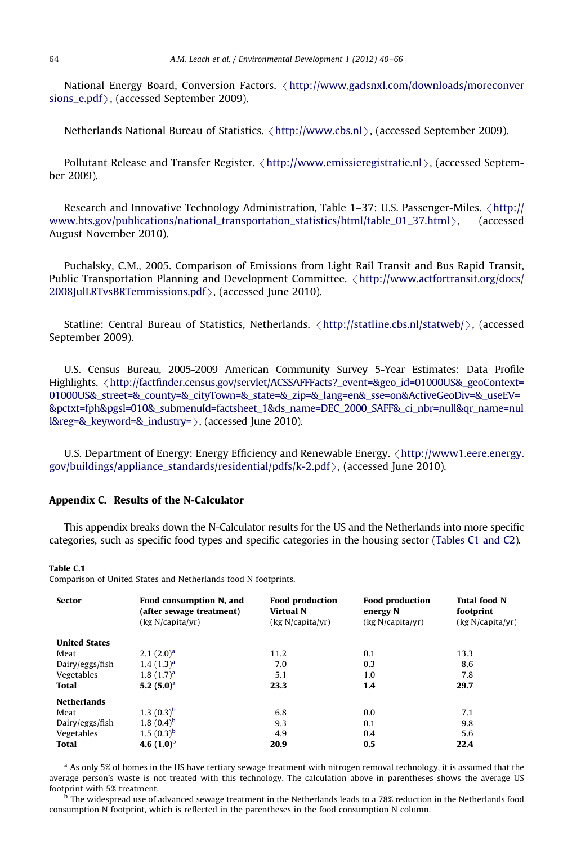<span id="page-24-0"></span>National Energy Board, Conversion Factors. /[http://www.gadsnxl.com/downloads/moreconver](www.gadsnxl.com/downloads/moreconversions_e.pdf) [sions\\_e.pdf](www.gadsnxl.com/downloads/moreconversions_e.pdf) $\rangle$ , (accessed September 2009).

Netherlands National Bureau of Statistics.  $\langle$ [http://www.cbs.nl](www.cbs.nl) $\rangle$ , (accessed September 2009).

Pollutant Release and Transfer Register.  $\langle$ [http://www.emissieregistratie.nl](www.emissieregistratie.nl) $\rangle$ , (accessed September 2009).

Research and Innovative Technology Administration, Table 1–37: U.S. Passenger-Miles.  $\langle$ [http://](www.bts.gov/publications/national_transportation_statistics/html/table_01_37.html)<br>ww.bts.gov/publications/national\_transportation\_statistics/html/table\_01\_37.html $\rangle$ , (accessed [www.bts.gov/publications/national\\_transportation\\_statistics/html/table\\_01\\_37.html](www.bts.gov/publications/national_transportation_statistics/html/table_01_37.html) $\rangle$ , August November 2010).

Puchalsky, C.M., 2005. Comparison of Emissions from Light Rail Transit and Bus Rapid Transit, Public Transportation Planning and Development Committee.  $\langle$  [http://www.actfortransit.org/docs/](www.actfortransit.org/docs/2008JulLRTvsBRTemmissions.pdf) [2008JulLRTvsBRTemmissions.pdf](www.actfortransit.org/docs/2008JulLRTvsBRTemmissions.pdf) $\rangle$ , (accessed June 2010).

Statline: Central Bureau of Statistics, Netherlands.  $\langle$ [http://statline.cbs.nl/statweb/](statline.cbs.nl/statweb/) $\rangle$ , (accessed September 2009).

U.S. Census Bureau, 2005-2009 American Community Survey 5-Year Estimates: Data Profile Highlights. /[http://factfinder.census.gov/servlet/ACSSAFFFacts?\\_event=&geo\\_id=01000US&\\_geoContext=](factfinder.census.gov/servlet/ACSSAFFFacts?_event=&geo_id=01000US&_geoContext=01000US&_street=&_county=&_cityTown=&_state=&_zip=&_lang=en&_sse=on&ActiveGeoDiv=&_useEV=&pctxt=fph&pgsl=010&_submenuId=factsheet_1&ds_name=DEC_2000_SAFF&_ci_nbr=null&qr_name=null®=&_keyword=&_industry=) [01000US&\\_street=&\\_county=](factfinder.census.gov/servlet/ACSSAFFFacts?_event=&geo_id=01000US&_geoContext=01000US&_street=&_county=&_cityTown=&_state=&_zip=&_lang=en&_sse=on&ActiveGeoDiv=&_useEV=&pctxt=fph&pgsl=010&_submenuId=factsheet_1&ds_name=DEC_2000_SAFF&_ci_nbr=null&qr_name=null®=&_keyword=&_industry=)&[\\_cityTown=](factfinder.census.gov/servlet/ACSSAFFFacts?_event=&geo_id=01000US&_geoContext=01000US&_street=&_county=&_cityTown=&_state=&_zip=&_lang=en&_sse=on&ActiveGeoDiv=&_useEV=&pctxt=fph&pgsl=010&_submenuId=factsheet_1&ds_name=DEC_2000_SAFF&_ci_nbr=null&qr_name=null®=&_keyword=&_industry=)&[\\_state=&\\_zip=&\\_lang=en](factfinder.census.gov/servlet/ACSSAFFFacts?_event=&geo_id=01000US&_geoContext=01000US&_street=&_county=&_cityTown=&_state=&_zip=&_lang=en&_sse=on&ActiveGeoDiv=&_useEV=&pctxt=fph&pgsl=010&_submenuId=factsheet_1&ds_name=DEC_2000_SAFF&_ci_nbr=null&qr_name=null®=&_keyword=&_industry=)&[\\_sse=on&ActiveGeoDiv=&\\_useEV=](factfinder.census.gov/servlet/ACSSAFFFacts?_event=&geo_id=01000US&_geoContext=01000US&_street=&_county=&_cityTown=&_state=&_zip=&_lang=en&_sse=on&ActiveGeoDiv=&_useEV=&pctxt=fph&pgsl=010&_submenuId=factsheet_1&ds_name=DEC_2000_SAFF&_ci_nbr=null&qr_name=null®=&_keyword=&_industry=) [&pctxt=fph&pgsl=010](factfinder.census.gov/servlet/ACSSAFFFacts?_event=&geo_id=01000US&_geoContext=01000US&_street=&_county=&_cityTown=&_state=&_zip=&_lang=en&_sse=on&ActiveGeoDiv=&_useEV=&pctxt=fph&pgsl=010&_submenuId=factsheet_1&ds_name=DEC_2000_SAFF&_ci_nbr=null&qr_name=null®=&_keyword=&_industry=)&[\\_submenuId=factsheet\\_1&ds\\_name=DEC\\_2000\\_SAFF&\\_ci\\_nbr=null&qr\\_name=nul](factfinder.census.gov/servlet/ACSSAFFFacts?_event=&geo_id=01000US&_geoContext=01000US&_street=&_county=&_cityTown=&_state=&_zip=&_lang=en&_sse=on&ActiveGeoDiv=&_useEV=&pctxt=fph&pgsl=010&_submenuId=factsheet_1&ds_name=DEC_2000_SAFF&_ci_nbr=null&qr_name=null®=&_keyword=&_industry=) [l&reg=&\\_keyword=&\\_industry=](factfinder.census.gov/servlet/ACSSAFFFacts?_event=&geo_id=01000US&_geoContext=01000US&_street=&_county=&_cityTown=&_state=&_zip=&_lang=en&_sse=on&ActiveGeoDiv=&_useEV=&pctxt=fph&pgsl=010&_submenuId=factsheet_1&ds_name=DEC_2000_SAFF&_ci_nbr=null&qr_name=null®=&_keyword=&_industry=) $\rangle$ , (accessed June 2010).

U.S. Department of Energy: Energy Efficiency and Renewable Energy. /[http://www1.eere.energy.](www1.eere.energy.gov/buildings/appliance_standards/residential/pdfs/k-2.pdf) [gov/buildings/appliance\\_standards/residential/pdfs/k-2.pdf](www1.eere.energy.gov/buildings/appliance_standards/residential/pdfs/k-2.pdf) $\rangle$ , (accessed June 2010).

# Appendix C. Results of the N-Calculator

This appendix breaks down the N-Calculator results for the US and the Netherlands into more specific categories, such as specific food types and specific categories in the housing sector (Tables C1 and C2).

#### Table C.1

Comparison of United States and Netherlands food N footprints.

| <b>Sector</b>        | Food consumption N, and<br>(after sewage treatment)<br>(kg N/capita/yr) | <b>Food production</b><br>Virtual N<br>(kg N/capita/yr) | <b>Food production</b><br>energy N<br>(kg N/capita/yr) | <b>Total food N</b><br>footprint<br>(kg N/capita/yr) |
|----------------------|-------------------------------------------------------------------------|---------------------------------------------------------|--------------------------------------------------------|------------------------------------------------------|
| <b>United States</b> |                                                                         |                                                         |                                                        |                                                      |
| Meat                 | $2.1(2.0)^a$                                                            | 11.2                                                    | 0.1                                                    | 13.3                                                 |
| Dairy/eggs/fish      | $1.4(1.3)^a$                                                            | 7.0                                                     | 0.3                                                    | 8.6                                                  |
| Vegetables           | $1.8(1.7)^a$                                                            | 5.1                                                     | 1.0                                                    | 7.8                                                  |
| <b>Total</b>         | 5.2 $(5.0)^a$                                                           | 23.3                                                    | 1.4                                                    | 29.7                                                 |
| <b>Netherlands</b>   |                                                                         |                                                         |                                                        |                                                      |
| Meat                 | 1.3 $(0.3)^b$                                                           | 6.8                                                     | 0.0                                                    | 7.1                                                  |
| Dairy/eggs/fish      | 1.8 $(0.4)^{b}$                                                         | 9.3                                                     | 0.1                                                    | 9.8                                                  |
| Vegetables           | 1.5 $(0.3)^{b}$                                                         | 4.9                                                     | 0.4                                                    | 5.6                                                  |
| <b>Total</b>         | 4.6 $(1.0)^b$                                                           | 20.9                                                    | 0.5                                                    | 22.4                                                 |

<sup>a</sup> As only 5% of homes in the US have tertiary sewage treatment with nitrogen removal technology, it is assumed that the average person's waste is not treated with this technology. The calculation above in parentheses shows the average US footprint with 5% treatment.

<sup>b</sup> The widespread use of advanced sewage treatment in the Netherlands leads to a 78% reduction in the Netherlands food consumption N footprint, which is reflected in the parentheses in the food consumption N column.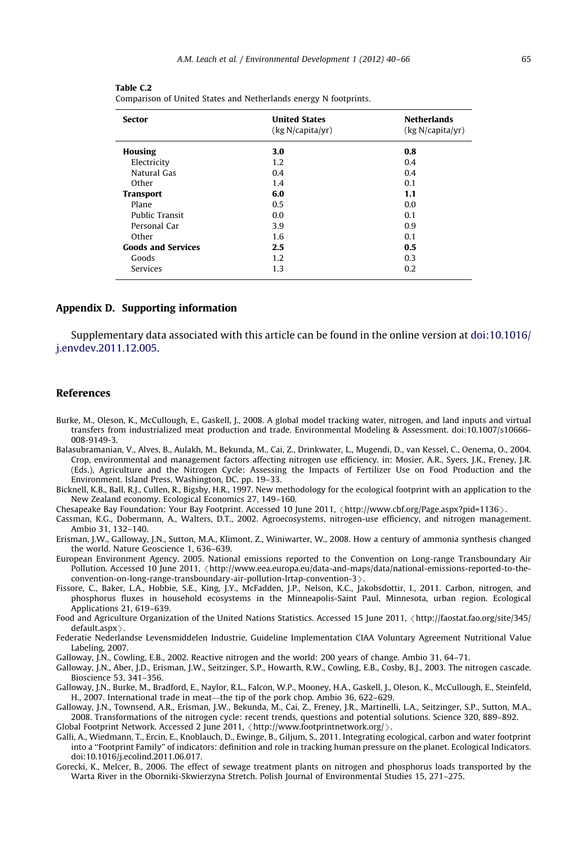| <b>Sector</b>             | <b>United States</b><br>(kg N/capita/yr) | <b>Netherlands</b><br>(kg N/capita/yr) |
|---------------------------|------------------------------------------|----------------------------------------|
| <b>Housing</b>            | 3.0                                      | 0.8                                    |
| Electricity               | 1.2                                      | 0.4                                    |
| Natural Gas               | 0.4                                      | 0.4                                    |
| Other                     | 1.4                                      | 0.1                                    |
| <b>Transport</b>          | 6.0                                      | 1.1                                    |
| Plane                     | 0.5                                      | 0.0                                    |
| <b>Public Transit</b>     | 0.0                                      | 0.1                                    |
| Personal Car              | 3.9                                      | 0.9                                    |
| Other                     | 1.6                                      | 0.1                                    |
| <b>Goods and Services</b> | 2.5                                      | 0.5                                    |
| Goods                     | 1.2                                      | 0.3                                    |
| Services                  | 1.3                                      | 0.2                                    |

| Table C.2                                                        |
|------------------------------------------------------------------|
| Comparison of United States and Netherlands energy N footprints. |

#### Appendix D. Supporting information

Supplementary data associated with this article can be found in the online version at [doi:10.1016/](doi:10.1016/j.envdev.2011.12.005) [j.envdev.2011.12.005](doi:10.1016/j.envdev.2011.12.005).

## References

- Burke, M., Oleson, K., McCullough, E., Gaskell, J., 2008. A global model tracking water, nitrogen, and land inputs and virtual transfers from industrialized meat production and trade. Environmental Modeling & Assessment. doi[:10.1007/s10666-](dx.doi.org/10.1007/s10666-008-9149-3) [008-9149-3](dx.doi.org/10.1007/s10666-008-9149-3).
- Balasubramanian, V., Alves, B., Aulakh, M., Bekunda, M., Cai, Z., Drinkwater, L., Mugendi, D., van Kessel, C., Oenema, O., 2004. Crop, environmental and management factors affecting nitrogen use efficiency. in: Mosier, A.R., Syers, J.K., Freney, J.R. (Eds.), Agriculture and the Nitrogen Cycle: Assessing the Impacts of Fertilizer Use on Food Production and the Environment. Island Press, Washington, DC, pp. 19–33.
- Bicknell, K.B., Ball, R.J., Cullen, R., Bigsby, H.R., 1997. New methodology for the ecological footprint with an application to the New Zealand economy. Ecological Economics 27, 149–160.<br>Chesapeake Bay Foundation: Your Bay Footprint. Accessed 10 June 2011, <http://www.cbf.org/Page.aspx?pid=1136 >.
- 
- Chesapeake Bay Foundation: Your Bay Footprint. Accessed 10 June 2011, <<http://www.cbf.org/Page.aspx?pid=1136>>.<br>Cassman, K.G., Dobermann, A., Walters, D.T., 2002. Agroecosystems, nitrogen-use efficiency, and nitrogen manage Ambio 31, 132–140.
- Erisman, J.W., Galloway, J.N., Sutton, M.A., Klimont, Z., Winiwarter, W., 2008. How a century of ammonia synthesis changed the world. Nature Geoscience 1, 636–639.
- European Environment Agency, 2005. National emissions reported to the Convention on Long-range Transboundary Air Pollution. Accessed 10 June 2011, < [http://www.eea.europa.eu/data-and-maps/data/national-emissions-reported-to-the](http://www.eea.europa.eu/data-and-maps/data/national-emissions-reported-to-the-convention-on-long-range-transboundary-air-pollution-lrtap-convention-3)[convention-on-long-range-transboundary-air-pollution-lrtap-convention-3](http://www.eea.europa.eu/data-and-maps/data/national-emissions-reported-to-the-convention-on-long-range-transboundary-air-pollution-lrtap-convention-3)).
- Fissore, C., Baker, L.A., Hobbie, S.E., King, J.Y., McFadden, J.P., Nelson, K.C., Jakobsdottir, I., 2011. Carbon, nitrogen, and phosphorus fluxes in household ecosystems in the Minneapolis-Saint Paul, Minnesota, urban region. Ecological Applications 21, 619–639.
- Food and Agriculture Organization of the United Nations Statistics. Accessed 15 June 2011,  $\langle$ [http://faostat.fao.org/site/345/](http://faostat.fao.org/site/345/default.aspx) [default.aspx](http://faostat.fao.org/site/345/default.aspx) $\rangle$ .
- Federatie Nederlandse Levensmiddelen Industrie, Guideline Implementation CIAA Voluntary Agreement Nutritional Value Labeling, 2007.
- Galloway, J.N., Cowling, E.B., 2002. Reactive nitrogen and the world: 200 years of change. Ambio 31, 64–71.
- Galloway, J.N., Aber, J.D., Erisman, J.W., Seitzinger, S.P., Howarth, R.W., Cowling, E.B., Cosby, B.J., 2003. The nitrogen cascade. Bioscience 53, 341–356.
- Galloway, J.N., Burke, M., Bradford, E., Naylor, R.L., Falcon, W.P., Mooney, H.A., Gaskell, J., Oleson, K., McCullough, E., Steinfeld, H., 2007. International trade in meat—the tip of the pork chop. Ambio 36, 622–629.
- Galloway, J.N., Townsend, A.R., Erisman, J.W., Bekunda, M., Cai, Z., Freney, J.R., Martinelli, L.A., Seitzinger, S.P., Sutton, M.A., 2008. Transformations of the nitrogen cycle: recent trends, questions and potential solutions. Science 320, 889–892.
- Global Footprint Network. Accessed 2 June 2011,  $\langle$  <http://www.footprintnetwork.org/> $\rangle$ .
- Galli, A., Wiedmann, T., Ercin, E., Knoblauch, D., Ewinge, B., Giljum, S., 2011. Integrating ecological, carbon and water footprint into a ''Footprint Family'' of indicators: definition and role in tracking human pressure on the planet. Ecological Indicators. doi[:10.1016/j.ecolind.2011.06.017.](dx.doi.org/10.1016/j.ecolind.2011.06.017)
- Gorecki, K., Melcer, B., 2006. The effect of sewage treatment plants on nitrogen and phosphorus loads transported by the Warta River in the Oborniki-Skwierzyna Stretch. Polish Journal of Environmental Studies 15, 271–275.